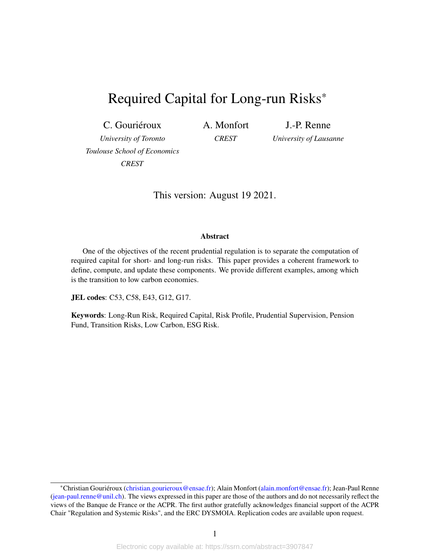# <span id="page-0-0"></span>Required Capital for Long-run Risks\*

C. Gouriéroux

A. Monfort

J.-P. Renne

*University of Toronto Toulouse School of Economics CREST*

*CREST*

*University of Lausanne*

This version: August 19 2021.

#### Abstract

One of the objectives of the recent prudential regulation is to separate the computation of required capital for short- and long-run risks. This paper provides a coherent framework to define, compute, and update these components. We provide different examples, among which is the transition to low carbon economies.

JEL codes: C53, C58, E43, G12, G17.

Keywords: Long-Run Risk, Required Capital, Risk Profile, Prudential Supervision, Pension Fund, Transition Risks, Low Carbon, ESG Risk.

<sup>\*</sup>Christian Gouriéroux [\(christian.gourieroux@ensae.fr\)](mailto:christian.gourieroux@ensae.fr); Alain Monfort [\(alain.monfort@ensae.fr\)](mailto:alain.monfort@ensae.fr); Jean-Paul Renne [\(jean-paul.renne@unil.ch\)](mailto:jean-paul.renne@unil.ch). The views expressed in this paper are those of the authors and do not necessarily reflect the views of the Banque de France or the ACPR. The first author gratefully acknowledges financial support of the ACPR Chair "Regulation and Systemic Risks", and the ERC DYSMOIA. Replication codes are available upon request.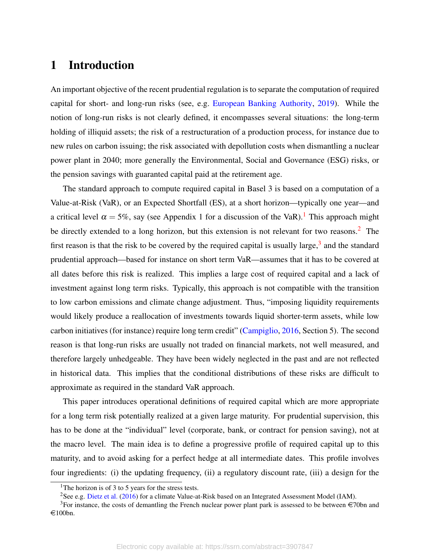## 1 Introduction

An important objective of the recent prudential regulation is to separate the computation of required capital for short- and long-run risks (see, e.g. [European Banking Authority,](#page-37-0) [2019\)](#page-37-0). While the notion of long-run risks is not clearly defined, it encompasses several situations: the long-term holding of illiquid assets; the risk of a restructuration of a production process, for instance due to new rules on carbon issuing; the risk associated with depollution costs when dismantling a nuclear power plant in 2040; more generally the Environmental, Social and Governance (ESG) risks, or the pension savings with guaranted capital paid at the retirement age.

The standard approach to compute required capital in Basel 3 is based on a computation of a Value-at-Risk (VaR), or an Expected Shortfall (ES), at a short horizon—typically one year—and a critical level  $\alpha = 5\%$ , say (see Appendix [1](#page-0-0) for a discussion of the VaR).<sup>1</sup> This approach might be directly extended to a long horizon, but this extension is not relevant for two reasons.<sup>[2](#page-0-0)</sup> The first reason is that the risk to be covered by the required capital is usually large,  $3$  and the standard prudential approach—based for instance on short term VaR—assumes that it has to be covered at all dates before this risk is realized. This implies a large cost of required capital and a lack of investment against long term risks. Typically, this approach is not compatible with the transition to low carbon emissions and climate change adjustment. Thus, "imposing liquidity requirements would likely produce a reallocation of investments towards liquid shorter-term assets, while low carbon initiatives (for instance) require long term credit" [\(Campiglio,](#page-36-0) [2016,](#page-36-0) Section 5). The second reason is that long-run risks are usually not traded on financial markets, not well measured, and therefore largely unhedgeable. They have been widely neglected in the past and are not reflected in historical data. This implies that the conditional distributions of these risks are difficult to approximate as required in the standard VaR approach.

This paper introduces operational definitions of required capital which are more appropriate for a long term risk potentially realized at a given large maturity. For prudential supervision, this has to be done at the "individual" level (corporate, bank, or contract for pension saving), not at the macro level. The main idea is to define a progressive profile of required capital up to this maturity, and to avoid asking for a perfect hedge at all intermediate dates. This profile involves four ingredients: (i) the updating frequency, (ii) a regulatory discount rate, (iii) a design for the

<sup>&</sup>lt;sup>1</sup>The horizon is of 3 to 5 years for the stress tests.

<sup>2</sup>See e.g. [Dietz et al.](#page-37-1) [\(2016\)](#page-37-1) for a climate Value-at-Risk based on an Integrated Assessment Model (IAM).

<sup>&</sup>lt;sup>3</sup>For instance, the costs of demantling the French nuclear power plant park is assessed to be between  $\in$ 70bn and  $\in$ 100bn.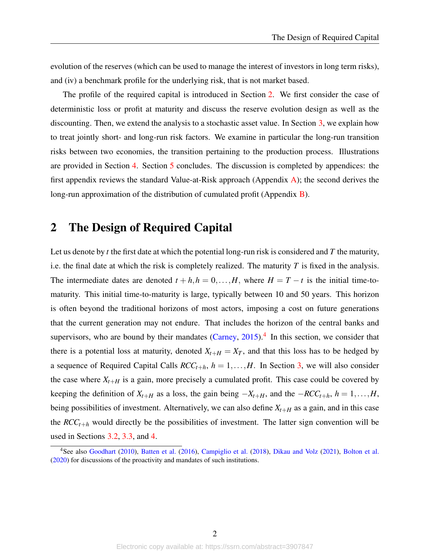evolution of the reserves (which can be used to manage the interest of investors in long term risks), and (iv) a benchmark profile for the underlying risk, that is not market based.

The profile of the required capital is introduced in Section [2.](#page-2-0) We first consider the case of deterministic loss or profit at maturity and discuss the reserve evolution design as well as the discounting. Then, we extend the analysis to a stochastic asset value. In Section [3,](#page-10-0) we explain how to treat jointly short- and long-run risk factors. We examine in particular the long-run transition risks between two economies, the transition pertaining to the production process. Illustrations are provided in Section [4.](#page-22-0) Section [5](#page-25-0) concludes. The discussion is completed by appendices: the first appendix reviews the standard Value-at-Risk approach (Appendix [A\)](#page-29-0); the second derives the long-run approximation of the distribution of cumulated profit (Appendix [B\)](#page-31-0).

## <span id="page-2-0"></span>2 The Design of Required Capital

Let us denote by *t* the first date at which the potential long-run risk is considered and *T* the maturity, i.e. the final date at which the risk is completely realized. The maturity *T* is fixed in the analysis. The intermediate dates are denoted  $t + h, h = 0, \ldots, H$ , where  $H = T - t$  is the initial time-tomaturity. This initial time-to-maturity is large, typically between 10 and 50 years. This horizon is often beyond the traditional horizons of most actors, imposing a cost on future generations that the current generation may not endure. That includes the horizon of the central banks and supervisors, who are bound by their mandates  $(Carney, 2015)$  $(Carney, 2015)$  $(Carney, 2015)$ .<sup>[4](#page-0-0)</sup> In this section, we consider that there is a potential loss at maturity, denoted  $X_{t+H} = X_T$ , and that this loss has to be hedged by a sequence of Required Capital Calls  $RCC_{t+h}$ ,  $h = 1, \ldots, H$ . In Section [3,](#page-10-0) we will also consider the case where  $X_{t+H}$  is a gain, more precisely a cumulated profit. This case could be covered by keeping the definition of  $X_{t+H}$  as a loss, the gain being  $-X_{t+H}$ , and the  $-RCC_{t+h}$ ,  $h = 1, \ldots, H$ , being possibilities of investment. Alternatively, we can also define  $X_{t+H}$  as a gain, and in this case the  $RCC_{t+h}$  would directly be the possibilities of investment. The latter sign convention will be used in Sections [3.2,](#page-12-0) [3.3,](#page-14-0) and [4.](#page-22-0)

<sup>&</sup>lt;sup>4</sup>See also [Goodhart](#page-37-2) [\(2010\)](#page-37-2), [Batten et al.](#page-36-2) [\(2016\)](#page-36-2), [Campiglio et al.](#page-36-3) [\(2018\)](#page-36-3), [Dikau and Volz](#page-37-3) [\(2021\)](#page-37-3), [Bolton et al.](#page-36-4) [\(2020\)](#page-36-4) for discussions of the proactivity and mandates of such institutions.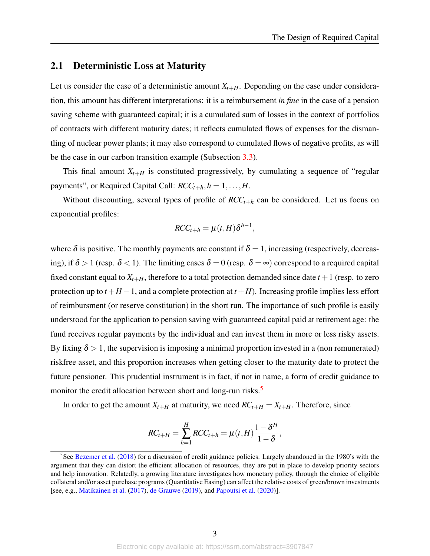### 2.1 Deterministic Loss at Maturity

Let us consider the case of a deterministic amount  $X_{t+H}$ . Depending on the case under consideration, this amount has different interpretations: it is a reimbursement *in fine* in the case of a pension saving scheme with guaranteed capital; it is a cumulated sum of losses in the context of portfolios of contracts with different maturity dates; it reflects cumulated flows of expenses for the dismantling of nuclear power plants; it may also correspond to cumulated flows of negative profits, as will be the case in our carbon transition example (Subsection [3.3\)](#page-14-0).

This final amount  $X_{t+H}$  is constituted progressively, by cumulating a sequence of "regular" payments", or Required Capital Call:  $RCC_{t+h}$ ,  $h = 1, \ldots, H$ .

Without discounting, several types of profile of  $RCC_{t+h}$  can be considered. Let us focus on exponential profiles:

$$
RCC_{t+h} = \mu(t, H)\delta^{h-1},
$$

where  $\delta$  is positive. The monthly payments are constant if  $\delta = 1$ , increasing (respectively, decreasing), if  $\delta > 1$  (resp.  $\delta < 1$ ). The limiting cases  $\delta = 0$  (resp.  $\delta = \infty$ ) correspond to a required capital fixed constant equal to  $X_{t+H}$ , therefore to a total protection demanded since date  $t+1$  (resp. to zero protection up to  $t + H - 1$ , and a complete protection at  $t + H$ ). Increasing profile implies less effort of reimbursment (or reserve constitution) in the short run. The importance of such profile is easily understood for the application to pension saving with guaranteed capital paid at retirement age: the fund receives regular payments by the individual and can invest them in more or less risky assets. By fixing  $\delta > 1$ , the supervision is imposing a minimal proportion invested in a (non remunerated) riskfree asset, and this proportion increases when getting closer to the maturity date to protect the future pensioner. This prudential instrument is in fact, if not in name, a form of credit guidance to monitor the credit allocation between short and long-run risks.<sup>[5](#page-0-0)</sup>

In order to get the amount  $X_{t+H}$  at maturity, we need  $RC_{t+H} = X_{t+H}$ . Therefore, since

$$
RC_{t+H} = \sum_{h=1}^{H} RCC_{t+h} = \mu(t, H) \frac{1 - \delta^H}{1 - \delta},
$$

<sup>&</sup>lt;sup>5</sup>See [Bezemer et al.](#page-36-5) [\(2018\)](#page-36-5) for a discussion of credit guidance policies. Largely abandoned in the 1980's with the argument that they can distort the efficient allocation of resources, they are put in place to develop priority sectors and help innovation. Relatedly, a growing literature investigates how monetary policy, through the choice of eligible collateral and/or asset purchase programs (Quantitative Easing) can affect the relative costs of green/brown investments [see, e.g., [Matikainen et al.](#page-38-0) [\(2017\)](#page-38-0), [de Grauwe](#page-37-4) [\(2019\)](#page-37-4), and [Papoutsi et al.](#page-38-1) [\(2020\)](#page-38-1)].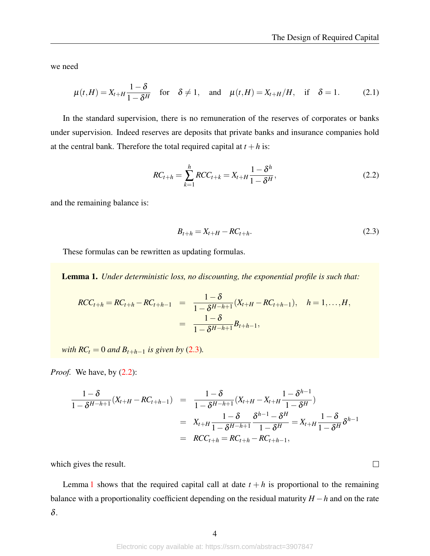$\Box$ 

we need

$$
\mu(t,H) = X_{t+H} \frac{1-\delta}{1-\delta^H} \quad \text{for} \quad \delta \neq 1, \quad \text{and} \quad \mu(t,H) = X_{t+H}/H, \quad \text{if} \quad \delta = 1. \tag{2.1}
$$

In the standard supervision, there is no remuneration of the reserves of corporates or banks under supervision. Indeed reserves are deposits that private banks and insurance companies hold at the central bank. Therefore the total required capital at  $t + h$  is:

<span id="page-4-1"></span>
$$
RC_{t+h} = \sum_{k=1}^{h} RCC_{t+k} = X_{t+H} \frac{1 - \delta^h}{1 - \delta^H},
$$
\n(2.2)

<span id="page-4-0"></span>and the remaining balance is:

$$
B_{t+h} = X_{t+H} - RC_{t+h}.
$$
\n(2.3)

These formulas can be rewritten as updating formulas.

<span id="page-4-2"></span>Lemma 1. *Under deterministic loss, no discounting, the exponential profile is such that:*

$$
RCC_{t+h} = RC_{t+h} - RC_{t+h-1} = \frac{1-\delta}{1-\delta^{H-h+1}}(X_{t+H} - RC_{t+h-1}), \quad h = 1,...,H,
$$
  
= 
$$
\frac{1-\delta}{1-\delta^{H-h+1}}B_{t+h-1},
$$

*with*  $RC_t = 0$  *and*  $B_{t+h-1}$  *is given by* [\(2.3\)](#page-4-0)*.* 

*Proof.* We have, by  $(2.2)$ :

$$
\frac{1-\delta}{1-\delta^{H-h+1}}(X_{t+H}-RC_{t+h-1}) = \frac{1-\delta}{1-\delta^{H-h+1}}(X_{t+H}-X_{t+H}\frac{1-\delta^{h-1}}{1-\delta^{H}})
$$
  
\n
$$
= X_{t+H}\frac{1-\delta}{1-\delta^{H-h+1}}\frac{\delta^{h-1}-\delta^{H}}{1-\delta^{H}} = X_{t+H}\frac{1-\delta}{1-\delta^{H}}\delta^{h-1}
$$
  
\n
$$
= RCC_{t+h} = RC_{t+h} - RC_{t+h-1},
$$

which gives the result.

Lemma [1](#page-4-2) shows that the required capital call at date  $t + h$  is proportional to the remaining balance with a proportionality coefficient depending on the residual maturity *H* −*h* and on the rate δ.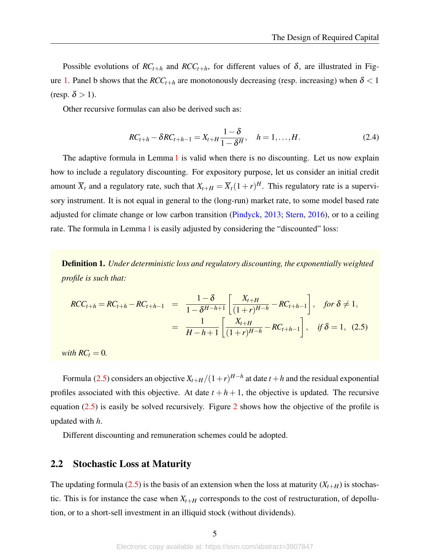Possible evolutions of  $RC_{t+h}$  and  $RCC_{t+h}$ , for different values of  $\delta$ , are illustrated in Fig-ure [1.](#page-6-0) Panel b shows that the  $RCC_{t+h}$  are monotonously decreasing (resp. increasing) when  $\delta$  < 1 (resp.  $\delta > 1$ ).

Other recursive formulas can also be derived such as:

$$
RC_{t+h} - \delta RC_{t+h-1} = X_{t+H} \frac{1-\delta}{1-\delta^H}, \quad h = 1, ..., H.
$$
 (2.4)

The adaptive formula in Lemma [1](#page-4-2) is valid when there is no discounting. Let us now explain how to include a regulatory discounting. For expository purpose, let us consider an initial credit amount  $\overline{X}_t$  and a regulatory rate, such that  $X_{t+H} = \overline{X}_t(1+r)^H$ . This regulatory rate is a supervisory instrument. It is not equal in general to the (long-run) market rate, to some model based rate adjusted for climate change or low carbon transition [\(Pindyck,](#page-39-0) [2013;](#page-39-0) [Stern,](#page-39-1) [2016\)](#page-39-1), or to a ceiling rate. The formula in Lemma [1](#page-4-2) is easily adjusted by considering the "discounted" loss:

<span id="page-5-1"></span>Definition 1. *Under deterministic loss and regulatory discounting, the exponentially weighted profile is such that:*

<span id="page-5-0"></span>
$$
RCC_{t+h} = RC_{t+h} - RC_{t+h-1} = \frac{1-\delta}{1-\delta^{H-h+1}} \left[ \frac{X_{t+H}}{(1+r)^{H-h}} - RC_{t+h-1} \right], \text{ for } \delta \neq 1,
$$
  
= 
$$
\frac{1}{H-h+1} \left[ \frac{X_{t+H}}{(1+r)^{H-h}} - RC_{t+h-1} \right], \text{ if } \delta = 1, (2.5)
$$

*with*  $RC<sub>t</sub> = 0$ *.* 

Formula [\(2.5\)](#page-5-0) considers an objective  $X_{t+H}/(1+r)^{H-h}$  at date  $t+h$  and the residual exponential profiles associated with this objective. At date  $t + h + 1$ , the objective is updated. The recursive equation [\(2.5\)](#page-5-0) is easily be solved recursively. Figure [2](#page-7-0) shows how the objective of the profile is updated with *h*.

Different discounting and remuneration schemes could be adopted.

### <span id="page-5-2"></span>2.2 Stochastic Loss at Maturity

The updating formula [\(2.5\)](#page-5-0) is the basis of an extension when the loss at maturity ( $X_{t+H}$ ) is stochastic. This is for instance the case when  $X_{t+H}$  corresponds to the cost of restructuration, of depollution, or to a short-sell investment in an illiquid stock (without dividends).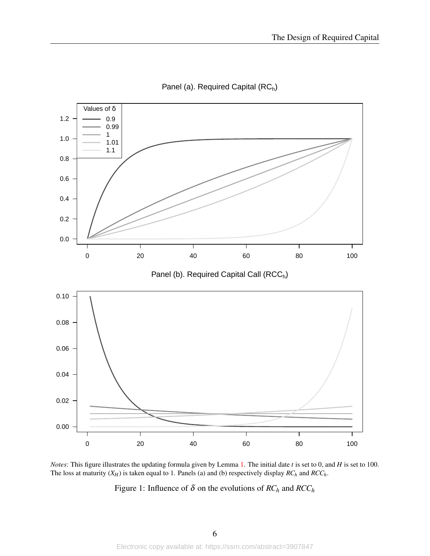<span id="page-6-0"></span>

Panel (a). Required Capital (RC<sub>h</sub>)

*Notes*: This figure illustrates the updating formula given by Lemma [1.](#page-4-2) The initial date *t* is set to 0, and *H* is set to 100. The loss at maturity (*XH*) is taken equal to 1. Panels (a) and (b) respectively display *RC<sup>h</sup>* and *RCCh*.

Figure 1: Influence of  $\delta$  on the evolutions of  $RC_h$  and  $RCC_h$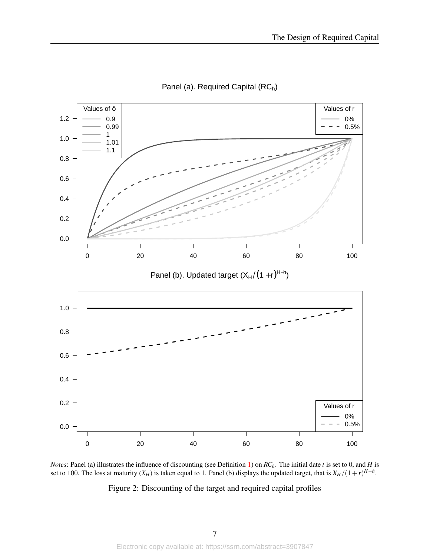<span id="page-7-0"></span>

Panel (a). Required Capital (RC<sub>h</sub>)

*Notes*: Panel (a) illustrates the influence of discounting (see Definition [1\)](#page-5-1) on *RCh*. The initial date *t* is set to 0, and *H* is set to 100. The loss at maturity  $(X_H)$  is taken equal to 1. Panel (b) displays the updated target, that is  $X_H/(1+r)^{H-h}$ .

Figure 2: Discounting of the target and required capital profiles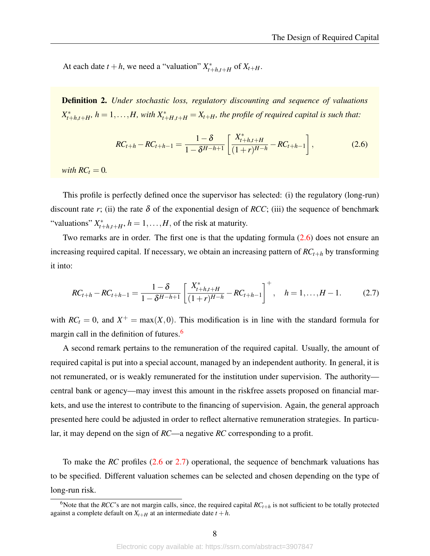At each date  $t + h$ , we need a "valuation"  $X_{t-1}^*$  $\int_{t+h,t+H}^{t}$  of  $X_{t+H}$ .

Definition 2. *Under stochastic loss, regulatory discounting and sequence of valuations X* ∗  $t_{t+h,t+H}$ ,  $h = 1, \ldots, H$ , with  $X_{t+H,t+H}^* = X_{t+H}$ , the profile of required capital is such that:

<span id="page-8-0"></span>
$$
RC_{t+h} - RC_{t+h-1} = \frac{1-\delta}{1-\delta^{H-h+1}} \left[ \frac{X_{t+h,t+H}^*}{(1+r)^{H-h}} - RC_{t+h-1} \right],
$$
 (2.6)

*with*  $RC<sub>t</sub> = 0$ *.* 

This profile is perfectly defined once the supervisor has selected: (i) the regulatory (long-run) discount rate *r*; (ii) the rate  $\delta$  of the exponential design of *RCC*; (iii) the sequence of benchmark "valuations" *X* ∗  $t_{t+h,t+H}^*$ ,  $h = 1, \ldots, H$ , of the risk at maturity.

Two remarks are in order. The first one is that the updating formula [\(2.6\)](#page-8-0) does not ensure an increasing required capital. If necessary, we obtain an increasing pattern of *RCt*+*<sup>h</sup>* by transforming it into:

<span id="page-8-1"></span>
$$
RC_{t+h} - RC_{t+h-1} = \frac{1-\delta}{1-\delta^{H-h+1}} \left[ \frac{X_{t+h,t+H}^*}{(1+r)^{H-h}} - RC_{t+h-1} \right]^+, \quad h = 1, \dots, H-1.
$$
 (2.7)

with  $RC<sub>t</sub> = 0$ , and  $X<sup>+</sup> = max(X,0)$ . This modification is in line with the standard formula for margin call in the definition of futures.<sup>[6](#page-0-0)</sup>

A second remark pertains to the remuneration of the required capital. Usually, the amount of required capital is put into a special account, managed by an independent authority. In general, it is not remunerated, or is weakly remunerated for the institution under supervision. The authority central bank or agency—may invest this amount in the riskfree assets proposed on financial markets, and use the interest to contribute to the financing of supervision. Again, the general approach presented here could be adjusted in order to reflect alternative remuneration strategies. In particular, it may depend on the sign of *RC*—a negative *RC* corresponding to a profit.

To make the *RC* profiles [\(2.6](#page-8-0) or [2.7\)](#page-8-1) operational, the sequence of benchmark valuations has to be specified. Different valuation schemes can be selected and chosen depending on the type of long-run risk.

<sup>&</sup>lt;sup>6</sup>Note that the *RCC*'s are not margin calls, since, the required capital  $RC_{t+h}$  is not sufficient to be totally protected against a complete default on  $X_{t+H}$  at an intermediate date  $t + h$ .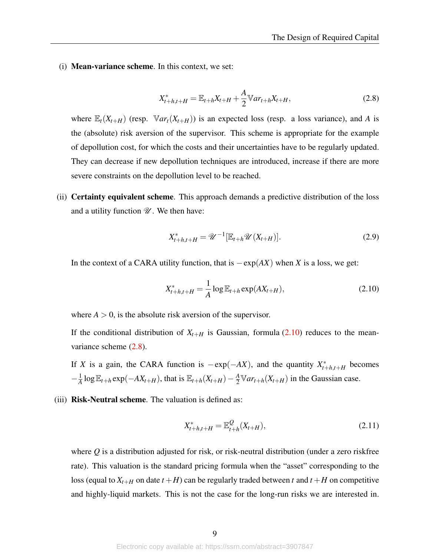<span id="page-9-1"></span>(i) Mean-variance scheme. In this context, we set:

$$
X_{t+h,t+H}^* = \mathbb{E}_{t+h} X_{t+H} + \frac{A}{2} \mathbb{V} a r_{t+h} X_{t+H},
$$
\n(2.8)

where  $\mathbb{E}_{t}(X_{t+H})$  (resp.  $\mathbb{V}ar_{t}(X_{t+H})$ ) is an expected loss (resp. a loss variance), and *A* is the (absolute) risk aversion of the supervisor. This scheme is appropriate for the example of depollution cost, for which the costs and their uncertainties have to be regularly updated. They can decrease if new depollution techniques are introduced, increase if there are more severe constraints on the depollution level to be reached.

(ii) Certainty equivalent scheme. This approach demands a predictive distribution of the loss and a utility function  $\mathcal{U}$ . We then have:

<span id="page-9-0"></span>
$$
X_{t+h,t+H}^* = \mathcal{U}^{-1}[\mathbb{E}_{t+h}\mathcal{U}(X_{t+H})].
$$
 (2.9)

In the context of a CARA utility function, that is  $-\exp(AX)$  when *X* is a loss, we get:

$$
X_{t+h,t+H}^* = \frac{1}{A} \log \mathbb{E}_{t+h} \exp(AX_{t+H}),
$$
\n(2.10)

where  $A > 0$ , is the absolute risk aversion of the supervisor.

If the conditional distribution of  $X_{t+H}$  is Gaussian, formula [\(2.10\)](#page-9-0) reduces to the meanvariance scheme  $(2.8)$ .

If *X* is a gain, the CARA function is  $-\exp(-AX)$ , and the quantity  $X_{t-}^*$  $t_{t+h,t+H}$  becomes  $-\frac{1}{4}$  $\frac{1}{A}$  log  $\mathbb{E}_{t+h}$  exp( $-AX_{t+H}$ ), that is  $\mathbb{E}_{t+h}(X_{t+H}) - \frac{A}{2} \mathbb{V}ar_{t+h}(X_{t+H})$  in the Gaussian case.

(iii) **Risk-Neutral scheme**. The valuation is defined as:

$$
X_{t+h,t+H}^* = \mathbb{E}_{t+h}^{\mathcal{Q}}(X_{t+H}),
$$
\n(2.11)

where *Q* is a distribution adjusted for risk, or risk-neutral distribution (under a zero riskfree rate). This valuation is the standard pricing formula when the "asset" corresponding to the loss (equal to  $X_{t+H}$  on date  $t+H$ ) can be regularly traded between t and  $t+H$  on competitive and highly-liquid markets. This is not the case for the long-run risks we are interested in.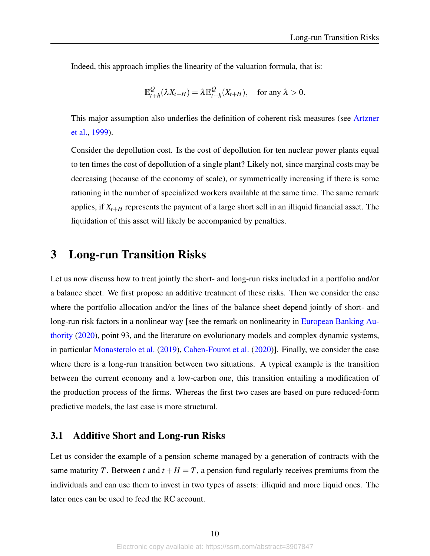Indeed, this approach implies the linearity of the valuation formula, that is:

$$
\mathbb{E}_{t+h}^{\mathcal{Q}}(\lambda X_{t+H}) = \lambda \mathbb{E}_{t+h}^{\mathcal{Q}}(X_{t+H}), \quad \text{for any } \lambda > 0.
$$

This major assumption also underlies the definition of coherent risk measures (see [Artzner](#page-36-6) [et al.,](#page-36-6) [1999\)](#page-36-6).

Consider the depollution cost. Is the cost of depollution for ten nuclear power plants equal to ten times the cost of depollution of a single plant? Likely not, since marginal costs may be decreasing (because of the economy of scale), or symmetrically increasing if there is some rationing in the number of specialized workers available at the same time. The same remark applies, if  $X_{t+H}$  represents the payment of a large short sell in an illiquid financial asset. The liquidation of this asset will likely be accompanied by penalties.

## <span id="page-10-0"></span>3 Long-run Transition Risks

Let us now discuss how to treat jointly the short- and long-run risks included in a portfolio and/or a balance sheet. We first propose an additive treatment of these risks. Then we consider the case where the portfolio allocation and/or the lines of the balance sheet depend jointly of short- and long-run risk factors in a nonlinear way [see the remark on nonlinearity in [European Banking Au](#page-37-5)[thority](#page-37-5) [\(2020\)](#page-37-5), point 93, and the literature on evolutionary models and complex dynamic systems, in particular [Monasterolo et al.](#page-38-2) [\(2019\)](#page-38-2), [Cahen-Fourot et al.](#page-36-7) [\(2020\)](#page-36-7)]. Finally, we consider the case where there is a long-run transition between two situations. A typical example is the transition between the current economy and a low-carbon one, this transition entailing a modification of the production process of the firms. Whereas the first two cases are based on pure reduced-form predictive models, the last case is more structural.

## 3.1 Additive Short and Long-run Risks

Let us consider the example of a pension scheme managed by a generation of contracts with the same maturity *T*. Between *t* and  $t + H = T$ , a pension fund regularly receives premiums from the individuals and can use them to invest in two types of assets: illiquid and more liquid ones. The later ones can be used to feed the RC account.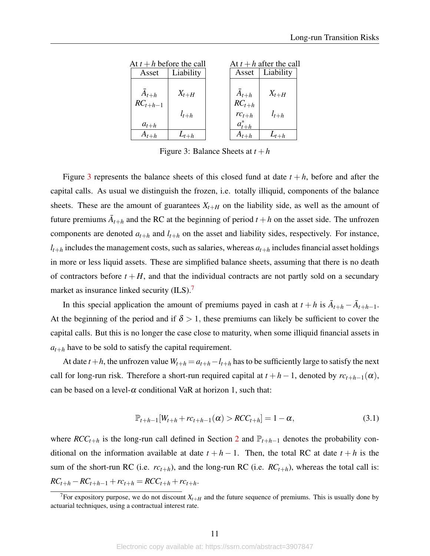<span id="page-11-0"></span>

| At $t + h$ before the call |                        |                                             | At $t + h$ after the call |
|----------------------------|------------------------|---------------------------------------------|---------------------------|
| Asset                      | Liability              | Asset                                       | Liability                 |
| $A_{t+h}$<br>$RC_{t+h-1}$  | $X_{t+H}$<br>$l_{t+h}$ | $\bar{A}_{t+h}$<br>$RC_{t+h}$<br>$rc_{t+h}$ | $X_{t+H}$<br>$l_{t+h}$    |
| $a_{t+h}$                  |                        | $a_{t+h}^*$                                 |                           |
| $A_{t+h}$                  | $L_{t+h}$              | $A_{t+h}$                                   | $L_{t+h}$                 |

Figure 3: Balance Sheets at  $t + h$ 

Figure [3](#page-11-0) represents the balance sheets of this closed fund at date  $t + h$ , before and after the capital calls. As usual we distinguish the frozen, i.e. totally illiquid, components of the balance sheets. These are the amount of guarantees  $X_{t+H}$  on the liability side, as well as the amount of future premiums  $\overline{A}_{t+h}$  and the RC at the beginning of period  $t+h$  on the asset side. The unfrozen components are denoted  $a_{t+h}$  and  $l_{t+h}$  on the asset and liability sides, respectively. For instance,  $l_{t+h}$  includes the management costs, such as salaries, whereas  $a_{t+h}$  includes financial asset holdings in more or less liquid assets. These are simplified balance sheets, assuming that there is no death of contractors before  $t + H$ , and that the individual contracts are not partly sold on a secundary market as insurance linked security (ILS).<sup>[7](#page-0-0)</sup>

In this special application the amount of premiums payed in cash at  $t + h$  is  $\overline{A}_{t+h} - \overline{A}_{t+h-1}$ . At the beginning of the period and if  $\delta > 1$ , these premiums can likely be sufficient to cover the capital calls. But this is no longer the case close to maturity, when some illiquid financial assets in  $a_{t+h}$  have to be sold to satisfy the capital requirement.

<span id="page-11-1"></span>At date  $t + h$ , the unfrozen value  $W_{t+h} = a_{t+h} - l_{t+h}$  has to be sufficiently large to satisfy the next call for long-run risk. Therefore a short-run required capital at  $t + h - 1$ , denoted by  $rc_{t+h-1}(\alpha)$ , can be based on a level- $\alpha$  conditional VaR at horizon 1, such that:

$$
\mathbb{P}_{t+h-1}[W_{t+h} + rc_{t+h-1}(\alpha) > RCC_{t+h}] = 1 - \alpha,
$$
\n(3.1)

where  $RCC_{t+h}$  is the long-run call defined in Section [2](#page-2-0) and  $\mathbb{P}_{t+h-1}$  denotes the probability conditional on the information available at date  $t + h - 1$ . Then, the total RC at date  $t + h$  is the sum of the short-run RC (i.e.  $rc_{t+h}$ ), and the long-run RC (i.e.  $RC_{t+h}$ ), whereas the total call is:  $RC_{t+h} - RC_{t+h-1} + rc_{t+h} = RCC_{t+h} + rc_{t+h}.$ 

<sup>&</sup>lt;sup>7</sup>For expository purpose, we do not discount  $X_{t+H}$  and the future sequence of premiums. This is usually done by actuarial techniques, using a contractual interest rate.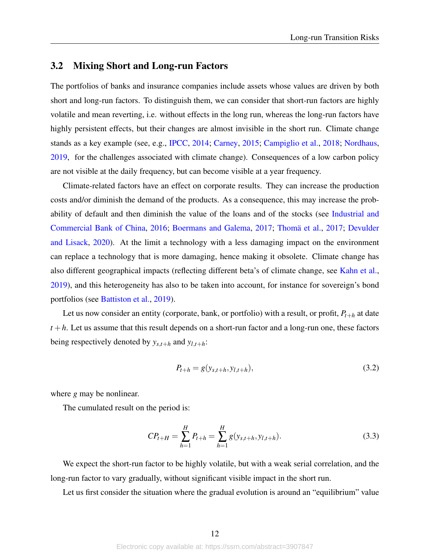### <span id="page-12-0"></span>3.2 Mixing Short and Long-run Factors

The portfolios of banks and insurance companies include assets whose values are driven by both short and long-run factors. To distinguish them, we can consider that short-run factors are highly volatile and mean reverting, i.e. without effects in the long run, whereas the long-run factors have highly persistent effects, but their changes are almost invisible in the short run. Climate change stands as a key example (see, e.g., [IPCC,](#page-38-3) [2014;](#page-38-3) [Carney,](#page-36-1) [2015;](#page-36-1) [Campiglio et al.,](#page-36-3) [2018;](#page-36-3) [Nordhaus,](#page-38-4) [2019,](#page-38-4) for the challenges associated with climate change). Consequences of a low carbon policy are not visible at the daily frequency, but can become visible at a year frequency.

Climate-related factors have an effect on corporate results. They can increase the production costs and/or diminish the demand of the products. As a consequence, this may increase the probability of default and then diminish the value of the loans and of the stocks (see [Industrial and](#page-38-5) [Commercial Bank of China,](#page-38-5) [2016;](#page-38-5) [Boermans and Galema,](#page-36-8) [2017;](#page-36-8) [Thomä et al.,](#page-39-2) [2017;](#page-39-2) [Devulder](#page-37-6) [and Lisack,](#page-37-6) [2020\)](#page-37-6). At the limit a technology with a less damaging impact on the environment can replace a technology that is more damaging, hence making it obsolete. Climate change has also different geographical impacts (reflecting different beta's of climate change, see [Kahn et al.,](#page-38-6) [2019\)](#page-38-6), and this heterogeneity has also to be taken into account, for instance for sovereign's bond portfolios (see [Battiston et al.,](#page-36-9) [2019\)](#page-36-9).

Let us now consider an entity (corporate, bank, or portfolio) with a result, or profit,  $P_{t+h}$  at date  $t + h$ . Let us assume that this result depends on a short-run factor and a long-run one, these factors being respectively denoted by  $y_{s,t+h}$  and  $y_{l,t+h}$ :

<span id="page-12-2"></span><span id="page-12-1"></span>
$$
P_{t+h} = g(y_{s,t+h}, y_{l,t+h}),
$$
\n(3.2)

where *g* may be nonlinear.

The cumulated result on the period is:

$$
CP_{t+H} = \sum_{h=1}^{H} P_{t+h} = \sum_{h=1}^{H} g(y_{s,t+h}, y_{l,t+h}).
$$
\n(3.3)

We expect the short-run factor to be highly volatile, but with a weak serial correlation, and the long-run factor to vary gradually, without significant visible impact in the short run.

Let us first consider the situation where the gradual evolution is around an "equilibrium" value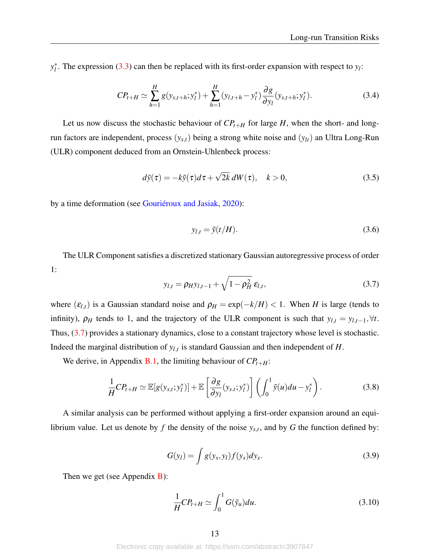*y* ∗  $\chi^*$ . The expression [\(3.3\)](#page-12-1) can then be replaced with its first-order expansion with respect to  $y_l$ :

$$
CP_{t+H} \simeq \sum_{h=1}^{H} g(y_{s,t+h}; y_l^*) + \sum_{h=1}^{H} (y_{l,t+h} - y_l^*) \frac{\partial g}{\partial y_l}(y_{s,t+h}; y_l^*).
$$
 (3.4)

Let us now discuss the stochastic behaviour of  $CP_{t+H}$  for large *H*, when the short- and longrun factors are independent, process (*ys*,*t*) being a strong white noise and (*ylt*) an Ultra Long-Run (ULR) component deduced from an Ornstein-Uhlenbeck process:

$$
d\tilde{y}(\tau) = -k\tilde{y}(\tau)d\tau + \sqrt{2k} \, dW(\tau), \quad k > 0,\tag{3.5}
$$

by a time deformation (see [Gouriéroux and Jasiak,](#page-37-7) [2020\)](#page-37-7):

<span id="page-13-3"></span>
$$
y_{l,t} = \tilde{y}(t/H). \tag{3.6}
$$

<span id="page-13-0"></span>The ULR Component satisfies a discretized stationary Gaussian autoregressive process of order 1:

<span id="page-13-1"></span>
$$
y_{l,t} = \rho_H y_{l,t-1} + \sqrt{1 - \rho_H^2} \, \varepsilon_{l,t},\tag{3.7}
$$

where  $(\varepsilon_{l,t})$  is a Gaussian standard noise and  $\rho_H = \exp(-k/H) < 1$ . When *H* is large (tends to infinity),  $\rho_H$  tends to 1, and the trajectory of the ULR component is such that  $y_{l,t} = y_{l,t-1}, \forall t$ . Thus, [\(3.7\)](#page-13-0) provides a stationary dynamics, close to a constant trajectory whose level is stochastic. Indeed the marginal distribution of  $y_{l,t}$  is standard Gaussian and then independent of *H*.

We derive, in Appendix [B.1,](#page-31-1) the limiting behaviour of *CPt*+*H*:

$$
\frac{1}{H}CP_{t+H} \simeq \mathbb{E}[g(y_{s,t};y_l^*)] + \mathbb{E}\left[\frac{\partial g}{\partial y_l}(y_{s,t};y_l^*)\right] \left(\int_0^1 \tilde{y}(u)du - y_l^*\right). \tag{3.8}
$$

A similar analysis can be performed without applying a first-order expansion around an equilibrium value. Let us denote by  $f$  the density of the noise  $y_{s,t}$ , and by  $G$  the function defined by:

<span id="page-13-2"></span>
$$
G(y_l) = \int g(y_s, y_l) f(y_s) dy_s.
$$
\n(3.9)

Then we get (see Appendix  $\bf{B}$ ):

$$
\frac{1}{H}CP_{t+H} \simeq \int_0^1 G(\tilde{y}_u) du.
$$
\n(3.10)

Electronic copy available at: https://ssrn.com/abstract=3907847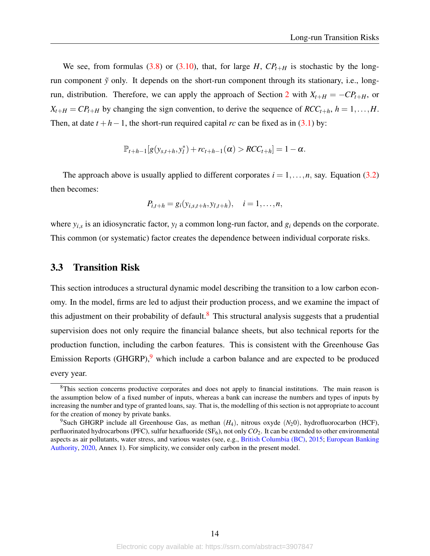We see, from formulas [\(3.8\)](#page-13-1) or [\(3.10\)](#page-13-2), that, for large  $H$ ,  $CP_{t+H}$  is stochastic by the longrun component  $\tilde{y}$  only. It depends on the short-run component through its stationary, i.e., long-run, distribution. Therefore, we can apply the approach of Section [2](#page-2-0) with  $X_{t+H} = -CP_{t+H}$ , or  $X_{t+H} = CP_{t+H}$  by changing the sign convention, to derive the sequence of  $RCC_{t+h}$ ,  $h = 1, \ldots, H$ . Then, at date  $t + h - 1$ , the short-run required capital *rc* can be fixed as in [\(3.1\)](#page-11-1) by:

$$
\mathbb{P}_{t+h-1}[g(y_{s,t+h}, y_t^*) + rc_{t+h-1}(\alpha) > RCC_{t+h}] = 1 - \alpha.
$$

The approach above is usually applied to different corporates  $i = 1, \ldots, n$ , say. Equation [\(3.2\)](#page-12-2) then becomes:

$$
P_{i,t+h} = g_i(y_{i,s,t+h}, y_{i,t+h}), \quad i = 1,\ldots,n,
$$

where  $y_{i,s}$  is an idiosyncratic factor,  $y_l$  a common long-run factor, and  $g_i$  depends on the corporate. This common (or systematic) factor creates the dependence between individual corporate risks.

### <span id="page-14-0"></span>3.3 Transition Risk

This section introduces a structural dynamic model describing the transition to a low carbon economy. In the model, firms are led to adjust their production process, and we examine the impact of this adjustment on their probability of default.<sup>[8](#page-0-0)</sup> This structural analysis suggests that a prudential supervision does not only require the financial balance sheets, but also technical reports for the production function, including the carbon features. This is consistent with the Greenhouse Gas Emission Reports (GHGRP), $9$  which include a carbon balance and are expected to be produced every year.

<sup>&</sup>lt;sup>8</sup>This section concerns productive corporates and does not apply to financial institutions. The main reason is the assumption below of a fixed number of inputs, whereas a bank can increase the numbers and types of inputs by increasing the number and type of granted loans, say. That is, the modelling of this section is not appropriate to account for the creation of money by private banks.

<sup>9</sup>Such GHGRP include all Greenhouse Gas, as methan (*H*4), nitrous oxyde (*N*20), hydrofluorocarbon (HCF), perfluorinated hydrocarbons (PFC), sulfur hexafluoride  $(SF_6)$ , not only  $CO_2$ . It can be extended to other environmental aspects as air pollutants, water stress, and various wastes (see, e.g., [British Columbia \(BC\),](#page-36-10) [2015;](#page-36-10) [European Banking](#page-37-5) [Authority,](#page-37-5) [2020,](#page-37-5) Annex 1). For simplicity, we consider only carbon in the present model.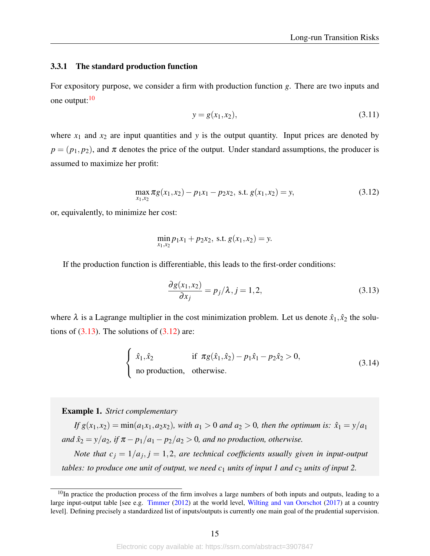#### 3.3.1 The standard production function

For expository purpose, we consider a firm with production function *g*. There are two inputs and one output:<sup>[10](#page-0-0)</sup>

$$
y = g(x_1, x_2), \tag{3.11}
$$

<span id="page-15-1"></span>where  $x_1$  and  $x_2$  are input quantities and y is the output quantity. Input prices are denoted by  $p = (p_1, p_2)$ , and  $\pi$  denotes the price of the output. Under standard assumptions, the producer is assumed to maximize her profit:

$$
\max_{x_1, x_2} \pi g(x_1, x_2) - p_1 x_1 - p_2 x_2, \text{ s.t. } g(x_1, x_2) = y,
$$
\n(3.12)

or, equivalently, to minimize her cost:

$$
\min_{x_1, x_2} p_1 x_1 + p_2 x_2, \text{ s.t. } g(x_1, x_2) = y.
$$

If the production function is differentiable, this leads to the first-order conditions:

<span id="page-15-0"></span>
$$
\frac{\partial g(x_1, x_2)}{\partial x_j} = p_j/\lambda, j = 1, 2,
$$
\n(3.13)

where  $\lambda$  is a Lagrange multiplier in the cost minimization problem. Let us denote  $\hat{x}_1, \hat{x}_2$  the solutions of  $(3.13)$ . The solutions of  $(3.12)$  are:

$$
\begin{cases}\n\hat{x}_1, \hat{x}_2 & \text{if } \pi g(\hat{x}_1, \hat{x}_2) - p_1 \hat{x}_1 - p_2 \hat{x}_2 > 0, \\
\text{no production, otherwise.} \n\end{cases}
$$
\n(3.14)

Example 1. *Strict complementary*

*If*  $g(x_1, x_2) = min(a_1x_1, a_2x_2)$ *, with*  $a_1 > 0$  *and*  $a_2 > 0$ *, then the optimum is:*  $\hat{x}_1 = y/a_1$ *and*  $\hat{x}_2 = y/a_2$ , if  $\pi - p_1/a_1 - p_2/a_2 > 0$ , and no production, otherwise. *Note that*  $c_j = 1/a_j$ ,  $j = 1,2$ , *are technical coefficients usually given in input-output tables: to produce one unit of output, we need*  $c_1$  *units of input 1 and*  $c_2$  *units of input 2.* 

 $10$ In practice the production process of the firm involves a large numbers of both inputs and outputs, leading to a large input-output table [see e.g. [Timmer](#page-39-3) [\(2012\)](#page-39-3) at the world level, [Wilting and van Oorschot](#page-39-4) [\(2017\)](#page-39-4) at a country level]. Defining precisely a standardized list of inputs/outputs is currently one main goal of the prudential supervision.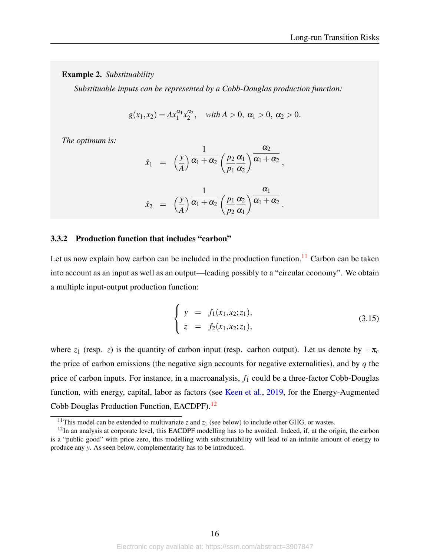#### Example 2. *Substituability*

*Substituable inputs can be represented by a Cobb-Douglas production function:*

$$
g(x_1, x_2) = Ax_1^{\alpha_1} x_2^{\alpha_2}, \quad \text{with } A > 0, \ \alpha_1 > 0, \ \alpha_2 > 0.
$$

*The optimum is:*

$$
\hat{x}_1 = \left(\frac{y}{A}\right) \overline{\alpha_1 + \alpha_2} \left(\frac{p_2}{p_1} \frac{\alpha_1}{\alpha_2}\right) \overline{\alpha_1 + \alpha_2},
$$
\n
$$
\sum_{n=1}^{\infty} \frac{1}{\alpha_1 + \alpha_2} \left(\frac{p_1}{p_1} \frac{\alpha_1}{\alpha_2}\right) \overline{\alpha_1 + \alpha_2},
$$

$$
\hat{x}_2 = \left(\frac{y}{A}\right) \overline{\alpha_1 + \alpha_2} \left(\frac{p_1}{p_2} \frac{\alpha_2}{\alpha_1}\right) \overline{\alpha_1 + \alpha_2}
$$

#### 3.3.2 Production function that includes "carbon"

Let us now explain how carbon can be included in the production function.<sup>[11](#page-0-0)</sup> Carbon can be taken into account as an input as well as an output—leading possibly to a "circular economy". We obtain a multiple input-output production function:

<span id="page-16-0"></span>
$$
\begin{cases}\ny = f_1(x_1, x_2; z_1), \\
z = f_2(x_1, x_2; z_1),\n\end{cases} \tag{3.15}
$$

.

where  $z_1$  (resp. *z*) is the quantity of carbon input (resp. carbon output). Let us denote by  $-\pi_c$ the price of carbon emissions (the negative sign accounts for negative externalities), and by *q* the price of carbon inputs. For instance, in a macroanalysis, *f*<sup>1</sup> could be a three-factor Cobb-Douglas function, with energy, capital, labor as factors (see [Keen et al.,](#page-38-7) [2019,](#page-38-7) for the Energy-Augmented Cobb Douglas Production Function, EACDPF).[12](#page-0-0)

<sup>&</sup>lt;sup>11</sup>This model can be extended to multivariate *z* and  $z_1$  (see below) to include other GHG, or wastes.

 $12$ In an analysis at corporate level, this EACDPF modelling has to be avoided. Indeed, if, at the origin, the carbon is a "public good" with price zero, this modelling with substitutability will lead to an infinite amount of energy to produce any *y*. As seen below, complementarity has to be introduced.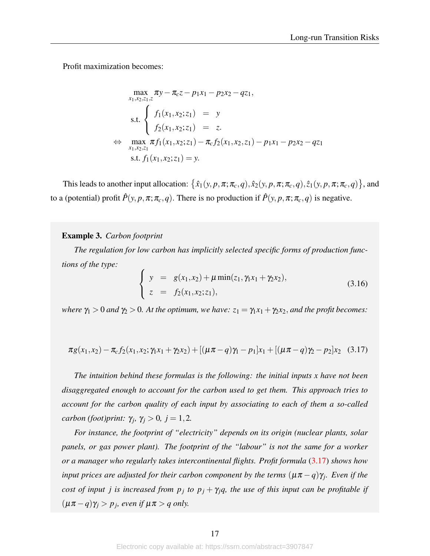Profit maximization becomes:

$$
\max_{x_1, x_2, z_1, z} \pi y - \pi_c z - p_1 x_1 - p_2 x_2 - q z_1,
$$
\n
$$
\text{s.t.} \begin{cases}\nf_1(x_1, x_2; z_1) = y \\
f_2(x_1, x_2; z_1) = z.\n\end{cases}
$$
\n
$$
\Leftrightarrow \max_{x_1, x_2, z_1} \pi f_1(x_1, x_2; z_1) - \pi_c f_2(x_1, x_2, z_1) - p_1 x_1 - p_2 x_2 - q z_1
$$
\n
$$
\text{s.t. } f_1(x_1, x_2; z_1) = y.
$$

This leads to another input allocation:  $\{\hat{x}_1(y, p, \pi; \pi_c, q), \hat{x}_2(y, p, \pi; \pi_c, q), \hat{z}_1(y, p, \pi; \pi_c, q)\}$ , and to a (potential) profit  $\hat{P}(y, p, \pi; \pi_c, q)$ . There is no production if  $\hat{P}(y, p, \pi; \pi_c, q)$  is negative.

#### <span id="page-17-2"></span>Example 3. *Carbon footprint*

*The regulation for low carbon has implicitly selected specific forms of production functions of the type:*

<span id="page-17-1"></span>
$$
\begin{cases}\ny = g(x_1, x_2) + \mu \min(z_1, \gamma_1 x_1 + \gamma_2 x_2), \\
z = f_2(x_1, x_2; z_1),\n\end{cases} \tag{3.16}
$$

<span id="page-17-0"></span>*where*  $\gamma_1 > 0$  *and*  $\gamma_2 > 0$ *. At the optimum, we have:*  $z_1 = \gamma_1 x_1 + \gamma_2 x_2$ *, and the profit becomes:* 

$$
\pi g(x_1, x_2) - \pi_c f_2(x_1, x_2; \gamma_1 x_1 + \gamma_2 x_2) + [(\mu \pi - q) \gamma_1 - p_1] x_1 + [(\mu \pi - q) \gamma_2 - p_2] x_2 \quad (3.17)
$$

*The intuition behind these formulas is the following: the initial inputs x have not been disaggregated enough to account for the carbon used to get them. This approach tries to account for the carbon quality of each input by associating to each of them a so-called carbon (foot)print:*  $\gamma_j$ ,  $\gamma_j > 0$ ,  $j = 1, 2$ .

*For instance, the footprint of "electricity" depends on its origin (nuclear plants, solar panels, or gas power plant). The footprint of the "labour" is not the same for a worker or a manager who regularly takes intercontinental flights. Profit formula* [\(3.17\)](#page-17-0) *shows how input prices are adjusted for their carbon component by the terms*  $(\mu \pi - q) \gamma_j$ *. Even if the cost of input j is increased from*  $p_j$  *to*  $p_j + \gamma_j q$ *, the use of this input can be profitable if*  $(\mu \pi - q) \gamma_j > p_j$ , even if  $\mu \pi > q$  only.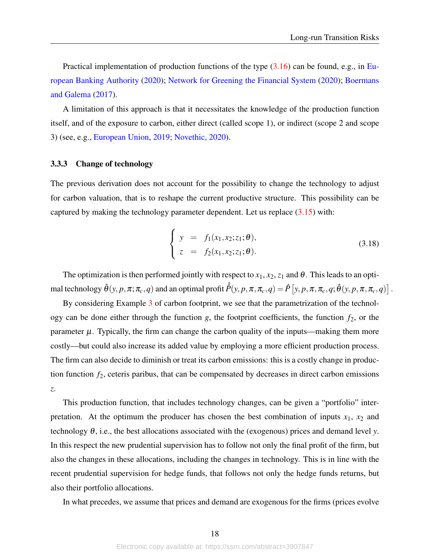Practical implementation of production functions of the type [\(3.16\)](#page-17-1) can be found, e.g., in [Eu](#page-37-5)[ropean Banking Authority](#page-37-5) [\(2020\)](#page-37-5); [Network for Greening the Financial System](#page-38-8) [\(2020\)](#page-38-8); [Boermans](#page-36-8) [and Galema](#page-36-8) [\(2017\)](#page-36-8).

A limitation of this approach is that it necessitates the knowledge of the production function itself, and of the exposure to carbon, either direct (called scope 1), or indirect (scope 2 and scope 3) (see, e.g., [European Union,](#page-37-8) [2019;](#page-37-8) [Novethic,](#page-38-9) [2020\)](#page-38-9).

#### 3.3.3 Change of technology

The previous derivation does not account for the possibility to change the technology to adjust for carbon valuation, that is to reshape the current productive structure. This possibility can be captured by making the technology parameter dependent. Let us replace  $(3.15)$  with:

$$
\begin{cases}\ny = f_1(x_1, x_2; z_1; \theta), \\
z = f_2(x_1, x_2; z_1; \theta).\n\end{cases}
$$
\n(3.18)

The optimization is then performed jointly with respect to  $x_1, x_2, z_1$  and  $\theta$ . This leads to an optimal technology  $\hat{\theta}(y,p,\pi;\pi_c,q)$  and an optimal profit  $\hat{P}(y,p,\pi,\pi_c,q)=\hat{P}\left[y,p,\pi,\pi_c,q;\hat{\theta}(y,p,\pi,\pi_c,q)\right]$  .

By considering Example [3](#page-17-2) of carbon footprint, we see that the parametrization of the technology can be done either through the function  $g$ , the footprint coefficients, the function  $f_2$ , or the parameter  $\mu$ . Typically, the firm can change the carbon quality of the inputs—making them more costly—but could also increase its added value by employing a more efficient production process. The firm can also decide to diminish or treat its carbon emissions: this is a costly change in production function *f*2, ceteris paribus, that can be compensated by decreases in direct carbon emissions *z*.

This production function, that includes technology changes, can be given a "portfolio" interpretation. At the optimum the producer has chosen the best combination of inputs  $x_1$ ,  $x_2$  and technology  $\theta$ , i.e., the best allocations associated with the (exogenous) prices and demand level *y*. In this respect the new prudential supervision has to follow not only the final profit of the firm, but also the changes in these allocations, including the changes in technology. This is in line with the recent prudential supervision for hedge funds, that follows not only the hedge funds returns, but also their portfolio allocations.

In what precedes, we assume that prices and demand are exogenous for the firms (prices evolve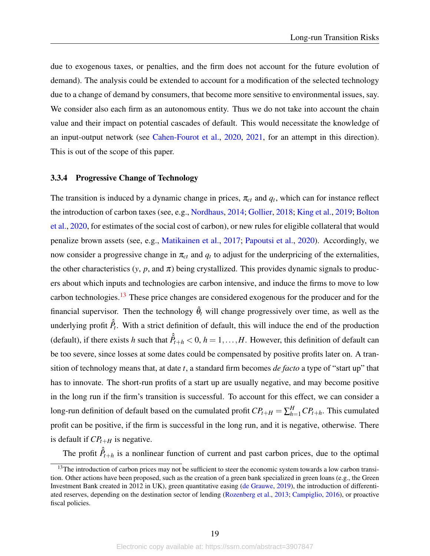due to exogenous taxes, or penalties, and the firm does not account for the future evolution of demand). The analysis could be extended to account for a modification of the selected technology due to a change of demand by consumers, that become more sensitive to environmental issues, say. We consider also each firm as an autonomous entity. Thus we do not take into account the chain value and their impact on potential cascades of default. This would necessitate the knowledge of an input-output network (see [Cahen-Fourot et al.,](#page-36-7) [2020,](#page-36-7) [2021,](#page-36-11) for an attempt in this direction). This is out of the scope of this paper.

#### 3.3.4 Progressive Change of Technology

The transition is induced by a dynamic change in prices,  $\pi_{ct}$  and  $q_t$ , which can for instance reflect the introduction of carbon taxes (see, e.g., [Nordhaus,](#page-38-10) [2014;](#page-38-10) [Gollier,](#page-37-9) [2018;](#page-37-9) [King et al.,](#page-38-11) [2019;](#page-38-11) [Bolton](#page-36-4) [et al.,](#page-36-4) [2020,](#page-36-4) for estimates of the social cost of carbon), or new rules for eligible collateral that would penalize brown assets (see, e.g., [Matikainen et al.,](#page-38-0) [2017;](#page-38-0) [Papoutsi et al.,](#page-38-1) [2020\)](#page-38-1). Accordingly, we now consider a progressive change in  $\pi_{ct}$  and  $q_t$  to adjust for the underpricing of the externalities, the other characteristics  $(y, p, \text{ and } \pi)$  being crystallized. This provides dynamic signals to producers about which inputs and technologies are carbon intensive, and induce the firms to move to low carbon technologies.<sup>[13](#page-0-0)</sup> These price changes are considered exogenous for the producer and for the financial supervisor. Then the technology  $\hat{\theta}_t$  will change progressively over time, as well as the underlying profit  $\hat{P}_t$ . With a strict definition of default, this will induce the end of the production (default), if there exists *h* such that  $\hat{P}_{t+h} < 0$ ,  $h = 1, ..., H$ . However, this definition of default can be too severe, since losses at some dates could be compensated by positive profits later on. A transition of technology means that, at date *t*, a standard firm becomes *de facto* a type of "start up" that has to innovate. The short-run profits of a start up are usually negative, and may become positive in the long run if the firm's transition is successful. To account for this effect, we can consider a long-run definition of default based on the cumulated profit  $CP_{t+H} = \sum_{h=1}^{H} CP_{t+h}$ . This cumulated profit can be positive, if the firm is successful in the long run, and it is negative, otherwise. There is default if  $CP_{t+H}$  is negative.

The profit  $\hat{P}_{t+h}$  is a nonlinear function of current and past carbon prices, due to the optimal

 $13$ The introduction of carbon prices may not be sufficient to steer the economic system towards a low carbon transition. Other actions have been proposed, such as the creation of a green bank specialized in green loans (e.g., the Green Investment Bank created in 2012 in UK), green quantitative easing [\(de Grauwe,](#page-37-4) [2019\)](#page-37-4), the introduction of differentiated reserves, depending on the destination sector of lending [\(Rozenberg et al.,](#page-39-5) [2013;](#page-39-5) [Campiglio,](#page-36-0) [2016\)](#page-36-0), or proactive fiscal policies.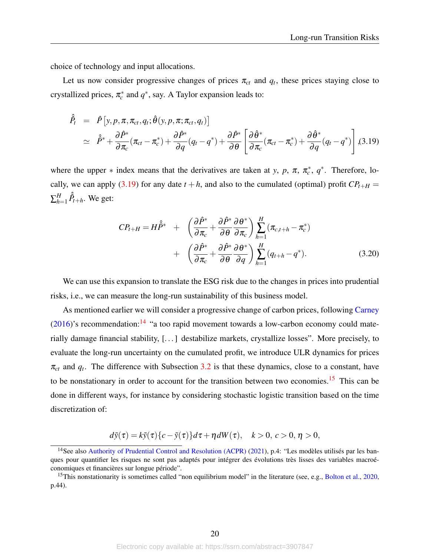choice of technology and input allocations.

Let us now consider progressive changes of prices  $\pi_{ct}$  and  $q_t$ , these prices staying close to crystallized prices,  $\pi_c^*$  and  $q^*$ , say. A Taylor expansion leads to:

<span id="page-20-0"></span>
$$
\hat{\hat{P}}_t = \hat{P}[y, p, \pi, \pi_{ct}, q_t; \hat{\theta}(y, p, \pi; \pi_{ct}, q_t)] \n\approx \hat{P}^* + \frac{\partial \hat{P}^*}{\partial \pi_c}(\pi_{ct} - \pi_c^*) + \frac{\partial \hat{P}^*}{\partial q}(q_t - q^*) + \frac{\partial \hat{P}^*}{\partial \theta}\left[\frac{\partial \hat{\theta}^*}{\partial \pi_c}(\pi_{ct} - \pi_c^*) + \frac{\partial \hat{\theta}^*}{\partial q}(q_t - q^*)\right], (3.19)
$$

where the upper  $*$  index means that the derivatives are taken at *y*, *p*,  $\pi$ ,  $\pi_c^*$ ,  $q^*$ . Therefore, lo-cally, we can apply [\(3.19\)](#page-20-0) for any date  $t + h$ , and also to the cumulated (optimal) profit  $CP_{t+H}$  =  $\sum_{h^z}^H$  $_{h=1}^H \hat{\hat{P}}_{t+h}$ . We get:

<span id="page-20-1"></span>
$$
CP_{t+H} = H\hat{P}^* + \left(\frac{\partial \hat{P}^*}{\partial \pi_c} + \frac{\partial \hat{P}^*}{\partial \theta} \frac{\partial \theta^*}{\partial \pi_c}\right) \sum_{h=1}^H (\pi_{c,t+h} - \pi_c^*)
$$
  
+ 
$$
\left(\frac{\partial \hat{P}^*}{\partial \pi_c} + \frac{\partial \hat{P}^*}{\partial \theta} \frac{\partial \theta^*}{\partial q}\right) \sum_{h=1}^H (q_{t+h} - q^*).
$$
(3.20)

We can use this expansion to translate the ESG risk due to the changes in prices into prudential risks, i.e., we can measure the long-run sustainability of this business model.

As mentioned earlier we will consider a progressive change of carbon prices, following [Carney](#page-36-12)  $(2016)$ 's recommendation:<sup>[14](#page-0-0)</sup> "a too rapid movement towards a low-carbon economy could materially damage financial stability, [. . . ] destabilize markets, crystallize losses". More precisely, to evaluate the long-run uncertainty on the cumulated profit, we introduce ULR dynamics for prices  $\pi_{ct}$  and  $q_t$ . The difference with Subsection [3.2](#page-12-0) is that these dynamics, close to a constant, have to be nonstationary in order to account for the transition between two economies.<sup>[15](#page-0-0)</sup> This can be done in different ways, for instance by considering stochastic logistic transition based on the time discretization of:

$$
d\tilde{y}(\tau) = k\tilde{y}(\tau)\{c - \tilde{y}(\tau)\}d\tau + \eta dW(\tau), \quad k > 0, c > 0, \eta > 0,
$$

<sup>&</sup>lt;sup>14</sup>See also [Authority of Prudential Control and Resolution \(ACPR\)](#page-36-13) [\(2021\)](#page-36-13), p.4: "Les modèles utilisés par les banques pour quantifier les risques ne sont pas adaptés pour intégrer des évolutions très lisses des variables macroéconomiques et financières sur longue période".

<sup>&</sup>lt;sup>15</sup>This nonstationarity is sometimes called "non equilibrium model" in the literature (see, e.g., [Bolton et al.,](#page-36-4) [2020,](#page-36-4) p.44).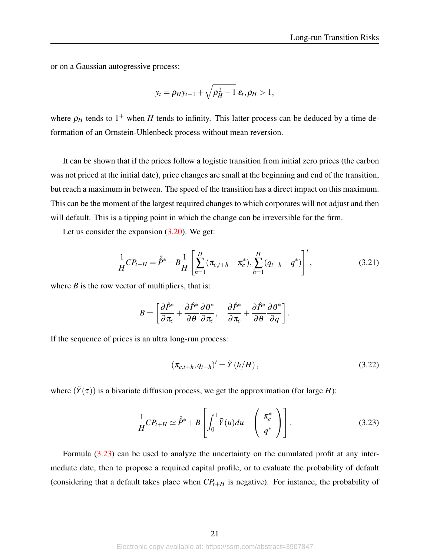or on a Gaussian autogressive process:

$$
y_t = \rho_H y_{t-1} + \sqrt{\rho_H^2 - 1} \varepsilon_t, \rho_H > 1,
$$

where  $\rho_H$  tends to 1<sup>+</sup> when *H* tends to infinity. This latter process can be deduced by a time deformation of an Ornstein-Uhlenbeck process without mean reversion.

It can be shown that if the prices follow a logistic transition from initial zero prices (the carbon was not priced at the initial date), price changes are small at the beginning and end of the transition, but reach a maximum in between. The speed of the transition has a direct impact on this maximum. This can be the moment of the largest required changes to which corporates will not adjust and then will default. This is a tipping point in which the change can be irreversible for the firm.

Let us consider the expansion  $(3.20)$ . We get:

$$
\frac{1}{H}CP_{t+H} = \hat{P}^* + B\frac{1}{H}\left[\sum_{h=1}^H(\pi_{c,t+h} - \pi_c^*), \sum_{h=1}^H(q_{t+h} - q^*)\right]',
$$
\n(3.21)

where  $B$  is the row vector of multipliers, that is:

$$
B=\left[\frac{\partial \hat{P}^*}{\partial \pi_c}+\frac{\partial \hat{P}^*}{\partial \theta}\frac{\partial \theta^*}{\partial \pi_c},\quad \frac{\partial \hat{P}^*}{\partial \pi_c}+\frac{\partial \hat{P}^*}{\partial \theta}\frac{\partial \theta^*}{\partial q}\right].
$$

If the sequence of prices is an ultra long-run process:

<span id="page-21-0"></span>
$$
\left(\pi_{c,t+h}, q_{t+h}\right)' = \tilde{Y}\left(h/H\right),\tag{3.22}
$$

where  $(\tilde{Y}(\tau))$  is a bivariate diffusion process, we get the approximation (for large *H*):

$$
\frac{1}{H}CP_{t+H} \simeq \hat{P}^* + B\left[\int_0^1 \tilde{Y}(u)du - \left(\begin{array}{c} \pi_c^* \\ q^* \end{array}\right)\right].
$$
\n(3.23)

Formula [\(3.23\)](#page-21-0) can be used to analyze the uncertainty on the cumulated profit at any intermediate date, then to propose a required capital profile, or to evaluate the probability of default (considering that a default takes place when  $CP_{t+H}$  is negative). For instance, the probability of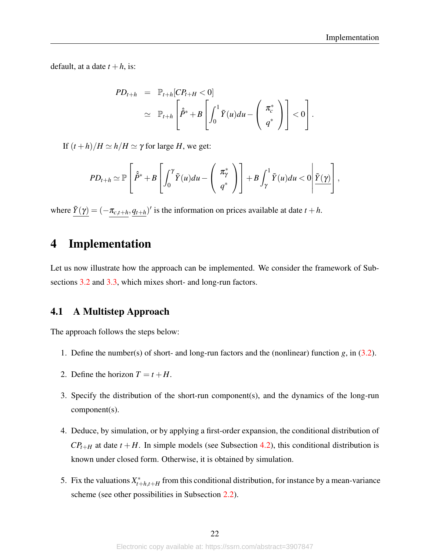default, at a date  $t + h$ , is:

$$
PD_{t+h} = \mathbb{P}_{t+h}[CP_{t+H} < 0] \\
\simeq \mathbb{P}_{t+h}\left[\hat{P}^* + B\left[\int_0^1 \tilde{Y}(u)du - \left(\begin{array}{c} \pi_c^* \\ q^* \end{array}\right)\right] < 0\right].
$$

If  $(t+h)/H \simeq h/H \simeq \gamma$  for large *H*, we get:

$$
PD_{t+h} \simeq \mathbb{P}\left[\hat{P}^* + B\left[\int_0^{\gamma} \tilde{Y}(u) du - \left(\begin{array}{c} \pi_{\gamma}^* \\ q^* \end{array}\right)\right] + B\int_{\gamma}^1 \tilde{Y}(u) du < 0 \middle|\underline{\tilde{Y}(\gamma)}\right],
$$

where  $\tilde{Y}(\gamma) = (-\pi_{c,t+h}, q_{t+h})'$  is the information on prices available at date  $t + h$ .

## <span id="page-22-0"></span>4 Implementation

Let us now illustrate how the approach can be implemented. We consider the framework of Sub-sections [3.2](#page-12-0) and [3.3,](#page-14-0) which mixes short- and long-run factors.

### 4.1 A Multistep Approach

The approach follows the steps below:

- 1. Define the number(s) of short- and long-run factors and the (nonlinear) function *g*, in [\(3.2\)](#page-12-2).
- 2. Define the horizon  $T = t + H$ .
- 3. Specify the distribution of the short-run component(s), and the dynamics of the long-run component(s).
- 4. Deduce, by simulation, or by applying a first-order expansion, the conditional distribution of  $CP_{t+H}$  at date  $t + H$ . In simple models (see Subsection [4.2\)](#page-23-0), this conditional distribution is known under closed form. Otherwise, it is obtained by simulation.
- 5. Fix the valuations  $X_{t-1}^*$  $t_{t+h,t+H}$  from this conditional distribution, for instance by a mean-variance scheme (see other possibilities in Subsection [2.2\)](#page-5-2).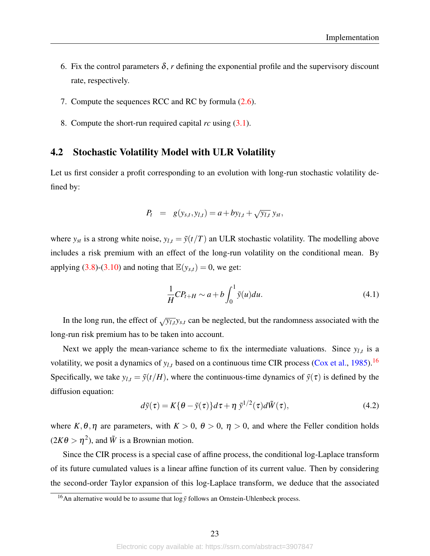- 6. Fix the control parameters  $\delta$ , *r* defining the exponential profile and the supervisory discount rate, respectively.
- 7. Compute the sequences RCC and RC by formula [\(2.6\)](#page-8-0).
- 8. Compute the short-run required capital *rc* using [\(3.1\)](#page-11-1).

### <span id="page-23-0"></span>4.2 Stochastic Volatility Model with ULR Volatility

Let us first consider a profit corresponding to an evolution with long-run stochastic volatility defined by:

<span id="page-23-2"></span>
$$
P_t = g(y_{s,t}, y_{l,t}) = a + by_{l,t} + \sqrt{y_{l,t}} y_{st},
$$

where  $y_{st}$  is a strong white noise,  $y_{l,t} = \tilde{y}(t/T)$  an ULR stochastic volatility. The modelling above includes a risk premium with an effect of the long-run volatility on the conditional mean. By applying [\(3.8\)](#page-13-1)-[\(3.10\)](#page-13-2) and noting that  $\mathbb{E}(y_{s,t}) = 0$ , we get:

$$
\frac{1}{H}CP_{t+H} \sim a + b \int_0^1 \tilde{y}(u) du.
$$
\n(4.1)

In the long run, the effect of  $\sqrt{y_{l,t}}y_{s,t}$  can be neglected, but the randomness associated with the long-run risk premium has to be taken into account.

Next we apply the mean-variance scheme to fix the intermediate valuations. Since  $y_{l,t}$  is a volatility, we posit a dynamics of  $y_{l,t}$  based on a continuous time CIR process [\(Cox et al.,](#page-36-14) [1985\)](#page-36-14).<sup>[16](#page-0-0)</sup> Specifically, we take  $y_{l,t} = \tilde{y}(t/H)$ , where the continuous-time dynamics of  $\tilde{y}(\tau)$  is defined by the diffusion equation:

<span id="page-23-1"></span>
$$
d\tilde{y}(\tau) = K\{\theta - \tilde{y}(\tau)\}d\tau + \eta \tilde{y}^{1/2}(\tau)d\tilde{W}(\tau),
$$
\n(4.2)

where  $K, \theta, \eta$  are parameters, with  $K > 0$ ,  $\theta > 0$ ,  $\eta > 0$ , and where the Feller condition holds  $(2K\theta > \eta^2)$ , and  $\tilde{W}$  is a Brownian motion.

Since the CIR process is a special case of affine process, the conditional log-Laplace transform of its future cumulated values is a linear affine function of its current value. Then by considering the second-order Taylor expansion of this log-Laplace transform, we deduce that the associated

<sup>&</sup>lt;sup>16</sup>An alternative would be to assume that  $\log \tilde{y}$  follows an Ornstein-Uhlenbeck process.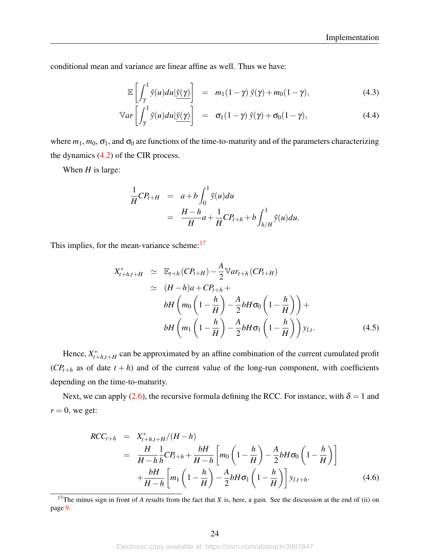conditional mean and variance are linear affine as well. Thus we have:

<span id="page-24-2"></span>
$$
\mathbb{E}\left[\int_{\gamma}^{1} \tilde{y}(u) du | \underline{\tilde{y}(\gamma)} \right] = m_1(1-\gamma) \, \tilde{y}(\gamma) + m_0(1-\gamma), \tag{4.3}
$$

$$
\mathbb{V}ar\left[\int_{\gamma}^{1} \tilde{y}(u)du | \underline{\tilde{y}(\gamma)}\right] = \sigma_1(1-\gamma) \tilde{y}(\gamma) + \sigma_0(1-\gamma), \qquad (4.4)
$$

where  $m_1$ ,  $m_0$ ,  $\sigma_1$ , and  $\sigma_0$  are functions of the time-to-maturity and of the parameters characterizing the dynamics [\(4.2\)](#page-23-1) of the CIR process.

When *H* is large:

$$
\frac{1}{H}CP_{t+H} = a+b\int_0^1 \tilde{y}(u)du
$$
  
= 
$$
\frac{H-h}{H}a+\frac{1}{H}CP_{t+h}+b\int_{h/H}^1 \tilde{y}(u)du.
$$

This implies, for the mean-variance scheme:<sup>[17](#page-0-0)</sup>

<span id="page-24-0"></span>
$$
X_{t+h,t+H}^{*} \simeq \mathbb{E}_{t+h} (CP_{t+H}) - \frac{A}{2} \mathbb{V}ar_{t+h} (CP_{t+H})
$$
  
\simeq (H-h)a + CP\_{t+h} +  
bH \left( m\_0 \left( 1 - \frac{h}{H} \right) - \frac{A}{2} bH \sigma\_0 \left( 1 - \frac{h}{H} \right) \right) +  
bH \left( m\_1 \left( 1 - \frac{h}{H} \right) - \frac{A}{2} bH \sigma\_1 \left( 1 - \frac{h}{H} \right) \right) y\_{l,t}. (4.5)

Hence,  $X_{t-}^*$  $t_{t+h,t+H}$  can be approximated by an affine combination of the current cumulated profit  $(CP_{t+h}$  as of date  $t+h$ ) and of the current value of the long-run component, with coefficients depending on the time-to-maturity.

Next, we can apply [\(2.6\)](#page-8-0), the recursive formula defining the RCC. For instance, with  $\delta = 1$  and  $r = 0$ , we get:

<span id="page-24-1"></span>
$$
RCC_{t+h} = X_{t+h,t+H}^{*}/(H-h)
$$
  
=  $\frac{H}{H-h} \frac{1}{h}CP_{t+h} + \frac{bH}{H-h} \left[ m_0 \left( 1 - \frac{h}{H} \right) - \frac{A}{2}bH\sigma_0 \left( 1 - \frac{h}{H} \right) \right]$   
+  $\frac{bH}{H-h} \left[ m_1 \left( 1 - \frac{h}{H} \right) - \frac{A}{2}bH\sigma_1 \left( 1 - \frac{h}{H} \right) \right] y_{l,t+h}.$  (4.6)

<sup>17</sup>The minus sign in front of *A* results from the fact that *X* is, here, a gain. See the discussion at the end of (ii) on page [9.](#page-9-0)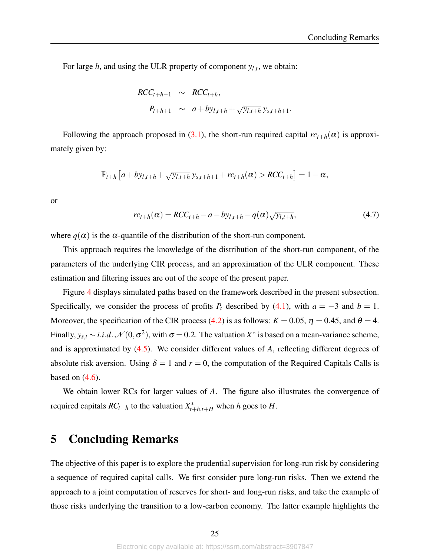For large  $h$ , and using the ULR property of component  $y_{l,t}$ , we obtain:

$$
RCC_{t+h-1} \sim RCC_{t+h},
$$
  
\n
$$
P_{t+h+1} \sim a + by_{l,t+h} + \sqrt{y_{l,t+h}} y_{s,t+h+1}.
$$

Following the approach proposed in [\(3.1\)](#page-11-1), the short-run required capital  $rc_{t+h}(\alpha)$  is approximately given by:

$$
\mathbb{P}_{t+h}\left[a+by_{l,t+h}+\sqrt{y_{l,t+h}}y_{s,t+h+1}+rc_{t+h}(\alpha)>RCC_{t+h}\right]=1-\alpha,
$$

or

$$
rc_{t+h}(\alpha) = RCC_{t+h} - a - by_{l,t+h} - q(\alpha)\sqrt{y_{l,t+h}},
$$
\n(4.7)

where  $q(\alpha)$  is the  $\alpha$ -quantile of the distribution of the short-run component.

This approach requires the knowledge of the distribution of the short-run component, of the parameters of the underlying CIR process, and an approximation of the ULR component. These estimation and filtering issues are out of the scope of the present paper.

Figure [4](#page-26-0) displays simulated paths based on the framework described in the present subsection. Specifically, we consider the process of profits  $P_t$  described by [\(4.1\)](#page-23-2), with  $a = -3$  and  $b = 1$ . Moreover, the specification of the CIR process [\(4.2\)](#page-23-1) is as follows:  $K = 0.05$ ,  $\eta = 0.45$ , and  $\theta = 4$ . Finally,  $y_{s,t} \sim i.i.d. \mathcal{N}(0, \sigma^2)$ , with  $\sigma = 0.2$ . The valuation  $X^*$  is based on a mean-variance scheme, and is approximated by [\(4.5\)](#page-24-0). We consider different values of *A*, reflecting different degrees of absolute risk aversion. Using  $\delta = 1$  and  $r = 0$ , the computation of the Required Capitals Calls is based on  $(4.6)$ .

We obtain lower RCs for larger values of *A*. The figure also illustrates the convergence of required capitals  $RC_{t+h}$  to the valuation  $X_{t+h,t+H}^*$  when *h* goes to *H*.

## <span id="page-25-0"></span>5 Concluding Remarks

The objective of this paper is to explore the prudential supervision for long-run risk by considering a sequence of required capital calls. We first consider pure long-run risks. Then we extend the approach to a joint computation of reserves for short- and long-run risks, and take the example of those risks underlying the transition to a low-carbon economy. The latter example highlights the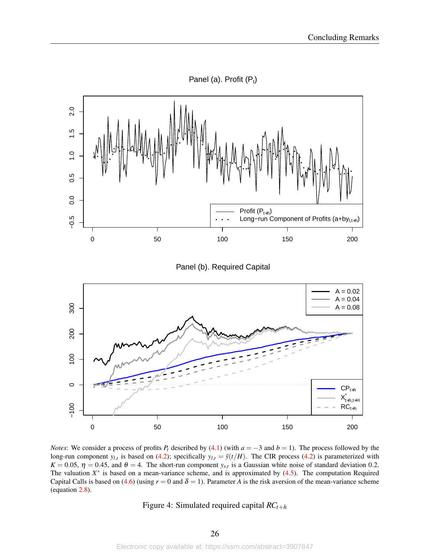<span id="page-26-0"></span>

*Notes*: We consider a process of profits  $P_t$  described by [\(4.1\)](#page-23-2) (with  $a = -3$  and  $b = 1$ ). The process followed by the long-run component  $y_{l,t}$  is based on [\(4.2\)](#page-23-1); specifically  $y_{l,t} = \tilde{y}(t/H)$ . The CIR process (4.2) is parameterized with  $K = 0.05$ ,  $\eta = 0.45$ , and  $\theta = 4$ . The short-run component  $y_{s,t}$  is a Gaussian white noise of standard deviation 0.2. The valuation  $X^*$  is based on a mean-variance scheme, and is approximated by  $(4.5)$ . The computation Required Capital Calls is based on [\(4.6\)](#page-24-1) (using  $r = 0$  and  $\delta = 1$ ). Parameter *A* is the risk aversion of the mean-variance scheme (equation [2.8\)](#page-9-1).

Figure 4: Simulated required capital *RCt*+*<sup>h</sup>*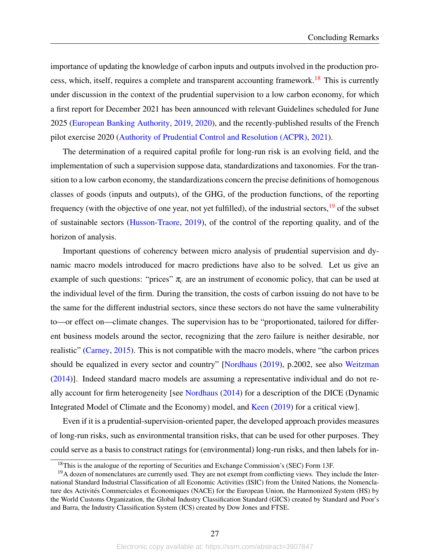importance of updating the knowledge of carbon inputs and outputs involved in the production pro-cess, which, itself, requires a complete and transparent accounting framework.<sup>[18](#page-0-0)</sup> This is currently under discussion in the context of the prudential supervision to a low carbon economy, for which a first report for December 2021 has been announced with relevant Guidelines scheduled for June 2025 [\(European Banking Authority,](#page-37-0) [2019,](#page-37-0) [2020\)](#page-37-5), and the recently-published results of the French pilot exercise 2020 [\(Authority of Prudential Control and Resolution \(ACPR\),](#page-36-13) [2021\)](#page-36-13).

The determination of a required capital profile for long-run risk is an evolving field, and the implementation of such a supervision suppose data, standardizations and taxonomies. For the transition to a low carbon economy, the standardizations concern the precise definitions of homogenous classes of goods (inputs and outputs), of the GHG, of the production functions, of the reporting frequency (with the objective of one year, not yet fulfilled), of the industrial sectors,  $\frac{19}{19}$  $\frac{19}{19}$  $\frac{19}{19}$  of the subset of sustainable sectors [\(Husson-Traore,](#page-38-12) [2019\)](#page-38-12), of the control of the reporting quality, and of the horizon of analysis.

Important questions of coherency between micro analysis of prudential supervision and dynamic macro models introduced for macro predictions have also to be solved. Let us give an example of such questions: "prices"  $\pi_c$  are an instrument of economic policy, that can be used at the individual level of the firm. During the transition, the costs of carbon issuing do not have to be the same for the different industrial sectors, since these sectors do not have the same vulnerability to—or effect on—climate changes. The supervision has to be "proportionated, tailored for different business models around the sector, recognizing that the zero failure is neither desirable, nor realistic" [\(Carney,](#page-36-1) [2015\)](#page-36-1). This is not compatible with the macro models, where "the carbon prices should be equalized in every sector and country" [\[Nordhaus](#page-38-4) [\(2019\)](#page-38-4), p.2002, see also [Weitzman](#page-39-6) [\(2014\)](#page-39-6)]. Indeed standard macro models are assuming a representative individual and do not really account for firm heterogeneity [see [Nordhaus](#page-38-10) [\(2014\)](#page-38-10) for a description of the DICE (Dynamic Integrated Model of Climate and the Economy) model, and [Keen](#page-38-13) [\(2019\)](#page-38-13) for a critical view].

Even if it is a prudential-supervision-oriented paper, the developed approach provides measures of long-run risks, such as environmental transition risks, that can be used for other purposes. They could serve as a basis to construct ratings for (environmental) long-run risks, and then labels for in-

<sup>&</sup>lt;sup>18</sup>This is the analogue of the reporting of Securities and Exchange Commission's (SEC) Form 13F.

 $19A$  dozen of nomenclatures are currently used. They are not exempt from conflicting views. They include the International Standard Industrial Classification of all Economic Activities (ISIC) from the United Nations, the Nomenclature des Activités Commerciales et Économiques (NACE) for the European Union, the Harmonized System (HS) by the World Customs Organization, the Global Industry Classification Standard (GICS) created by Standard and Poor's and Barra, the Industry Classification System (ICS) created by Dow Jones and FTSE.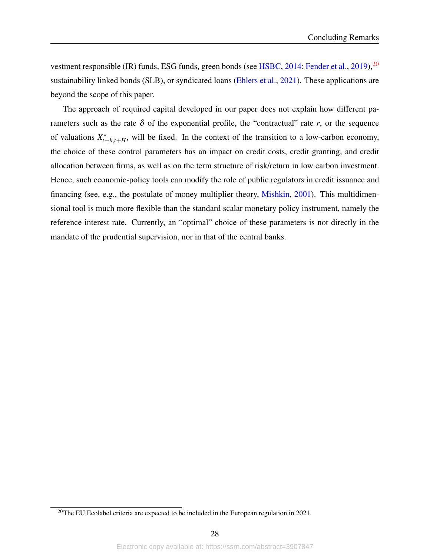vestment responsible (IR) funds, ESG funds, green bonds (see [HSBC,](#page-37-10) [2014;](#page-37-10) [Fender et al.,](#page-37-11) [2019\)](#page-37-11),<sup>[20](#page-0-0)</sup> sustainability linked bonds (SLB), or syndicated loans [\(Ehlers et al.,](#page-37-12) [2021\)](#page-37-12). These applications are beyond the scope of this paper.

The approach of required capital developed in our paper does not explain how different parameters such as the rate  $\delta$  of the exponential profile, the "contractual" rate  $r$ , or the sequence of valuations *X* ∗  $t_{t+h,t+H}^*$ , will be fixed. In the context of the transition to a low-carbon economy, the choice of these control parameters has an impact on credit costs, credit granting, and credit allocation between firms, as well as on the term structure of risk/return in low carbon investment. Hence, such economic-policy tools can modify the role of public regulators in credit issuance and financing (see, e.g., the postulate of money multiplier theory, [Mishkin,](#page-38-14) [2001\)](#page-38-14). This multidimensional tool is much more flexible than the standard scalar monetary policy instrument, namely the reference interest rate. Currently, an "optimal" choice of these parameters is not directly in the mandate of the prudential supervision, nor in that of the central banks.

<sup>&</sup>lt;sup>20</sup>The EU Ecolabel criteria are expected to be included in the European regulation in 2021.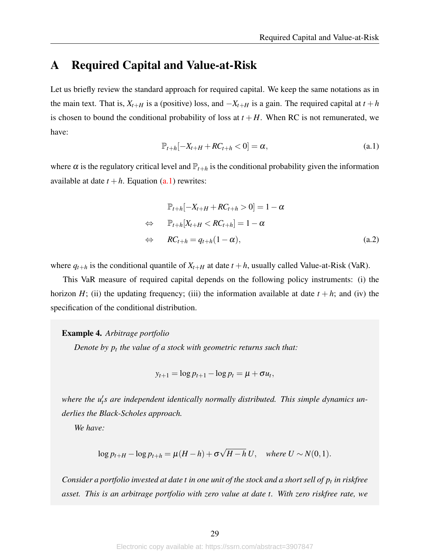# <span id="page-29-0"></span>A Required Capital and Value-at-Risk

<span id="page-29-1"></span>Let us briefly review the standard approach for required capital. We keep the same notations as in the main text. That is,  $X_{t+H}$  is a (positive) loss, and  $-X_{t+H}$  is a gain. The required capital at  $t+h$ is chosen to bound the conditional probability of loss at  $t + H$ . When RC is not remunerated, we have:

$$
\mathbb{P}_{t+h}[-X_{t+H} + RC_{t+h} < 0] = \alpha,\tag{a.1}
$$

where  $\alpha$  is the regulatory critical level and  $\mathbb{P}_{t+h}$  is the conditional probability given the information available at date  $t + h$ . Equation  $(a, 1)$  rewrites:

$$
\mathbb{P}_{t+h}[-X_{t+H} + RC_{t+h} > 0] = 1 - \alpha
$$
  
\n
$$
\Leftrightarrow \mathbb{P}_{t+h}[X_{t+H} < RC_{t+h}] = 1 - \alpha
$$
  
\n
$$
\Leftrightarrow RC_{t+h} = q_{t+h}(1 - \alpha),
$$
\n(a.2)

where  $q_{t+h}$  is the conditional quantile of  $X_{t+H}$  at date  $t+h$ , usually called Value-at-Risk (VaR).

This VaR measure of required capital depends on the following policy instruments: (i) the horizon *H*; (ii) the updating frequency; (iii) the information available at date  $t + h$ ; and (iv) the specification of the conditional distribution.

#### Example 4. *Arbitrage portfolio*

*Denote by p<sup>t</sup> the value of a stock with geometric returns such that:*

$$
y_{t+1} = \log p_{t+1} - \log p_t = \mu + \sigma u_t,
$$

where the u<sub>t</sub>'s are independent identically normally distributed. This simple dynamics un*derlies the Black-Scholes approach.*

*We have:*

$$
\log p_{t+H} - \log p_{t+h} = \mu(H-h) + \sigma \sqrt{H-h} U, \quad \text{where } U \sim N(0,1).
$$

*Consider a portfolio invested at date t in one unit of the stock and a short sell of p<sup>t</sup> in riskfree asset. This is an arbitrage portfolio with zero value at date t. With zero riskfree rate, we*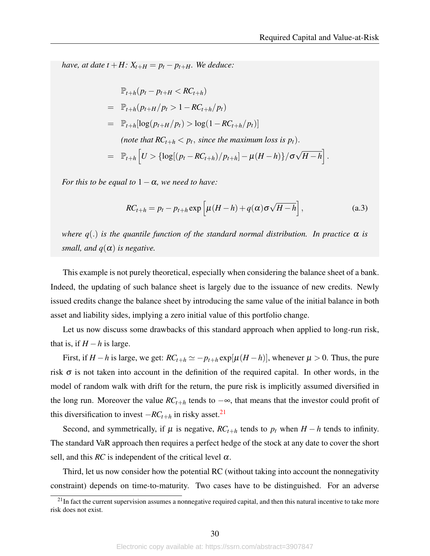*have, at date t* + *H*:  $X_{t+H} = p_t - p_{t+H}$ *. We deduce:* 

$$
\mathbb{P}_{t+h}(p_t - p_{t+H} < RC_{t+h})
$$
\n
$$
= \mathbb{P}_{t+h}(p_{t+H}/p_t > 1 - RC_{t+h}/p_t)
$$
\n
$$
= \mathbb{P}_{t+h}[\log(p_{t+H}/p_t) > \log(1 - RC_{t+h}/p_t)]
$$
\n*(note that RC\_{t+h} < p\_t, since the maximum loss is p\_t).*\n
$$
= \mathbb{P}_{t+h}\left[U > \{\log[(p_t - RC_{t+h})/p_{t+h}] - \mu(H-h)\}/\sigma\sqrt{H-h}\right].
$$

*For this to be equal to*  $1 - \alpha$ *, we need to have:* 

$$
RC_{t+h} = p_t - p_{t+h} \exp\left[\mu(H-h) + q(\alpha)\sigma\sqrt{H-h}\right],
$$
 (a.3)

*where*  $q(.)$  *is the quantile function of the standard normal distribution. In practice*  $\alpha$  *is small, and*  $q(\alpha)$  *is negative.* 

This example is not purely theoretical, especially when considering the balance sheet of a bank. Indeed, the updating of such balance sheet is largely due to the issuance of new credits. Newly issued credits change the balance sheet by introducing the same value of the initial balance in both asset and liability sides, implying a zero initial value of this portfolio change.

Let us now discuss some drawbacks of this standard approach when applied to long-run risk, that is, if  $H - h$  is large.

First, if *H* − *h* is large, we get:  $RC_{t+h} \simeq -p_{t+h} \exp[\mu(H-h)]$ , whenever  $\mu > 0$ . Thus, the pure risk  $\sigma$  is not taken into account in the definition of the required capital. In other words, in the model of random walk with drift for the return, the pure risk is implicitly assumed diversified in the long run. Moreover the value  $RC_{t+h}$  tends to  $-\infty$ , that means that the investor could profit of this diversification to invest  $-RC_{t+h}$  in risky asset.<sup>[21](#page-0-0)</sup>

Second, and symmetrically, if  $\mu$  is negative,  $RC_{t+h}$  tends to  $p_t$  when  $H-h$  tends to infinity. The standard VaR approach then requires a perfect hedge of the stock at any date to cover the short sell, and this  $RC$  is independent of the critical level  $\alpha$ .

Third, let us now consider how the potential RC (without taking into account the nonnegativity constraint) depends on time-to-maturity. Two cases have to be distinguished. For an adverse

 $21$ In fact the current supervision assumes a nonnegative required capital, and then this natural incentive to take more risk does not exist.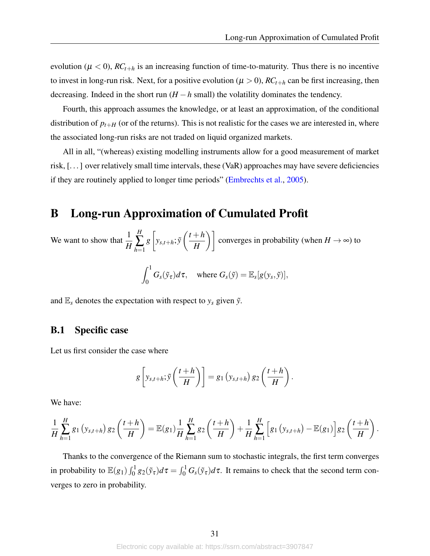evolution ( $\mu < 0$ ),  $RC_{t+h}$  is an increasing function of time-to-maturity. Thus there is no incentive to invest in long-run risk. Next, for a positive evolution ( $\mu > 0$ ),  $RC_{t+h}$  can be first increasing, then decreasing. Indeed in the short run  $(H - h \text{ small})$  the volatility dominates the tendency.

Fourth, this approach assumes the knowledge, or at least an approximation, of the conditional distribution of  $p_{t+H}$  (or of the returns). This is not realistic for the cases we are interested in, where the associated long-run risks are not traded on liquid organized markets.

All in all, "(whereas) existing modelling instruments allow for a good measurement of market risk, [. . . ] over relatively small time intervals, these (VaR) approaches may have severe deficiencies if they are routinely applied to longer time periods" [\(Embrechts et al.,](#page-37-13) [2005\)](#page-37-13).

## <span id="page-31-0"></span>B Long-run Approximation of Cumulated Profit

We want to show that  $\frac{1}{H}$ *H* ∑ *h*=1 *g*  $\sqrt{ }$ *ys*,*t*+*h*; ˜*y*  $t + h$  $\left(\frac{+h}{H}\right)$  converges in probability (when  $H \to \infty$ ) to

$$
\int_0^1 G_s(\tilde{y}_{\tau})d\tau, \quad \text{where } G_s(\tilde{y}) = \mathbb{E}_s[g(y_s, \tilde{y})],
$$

and  $\mathbb{E}_s$  denotes the expectation with respect to  $y_s$  given  $\tilde{y}$ .

### <span id="page-31-1"></span>B.1 Specific case

Let us first consider the case where

$$
g\left[y_{s,t+h};\tilde{y}\left(\frac{t+h}{H}\right)\right]=g_1\left(y_{s,t+h}\right)g_2\left(\frac{t+h}{H}\right).
$$

We have:

$$
\frac{1}{H}\sum_{h=1}^{H}g_1(y_{s,t+h})g_2\left(\frac{t+h}{H}\right)=\mathbb{E}(g_1)\frac{1}{H}\sum_{h=1}^{H}g_2\left(\frac{t+h}{H}\right)+\frac{1}{H}\sum_{h=1}^{H}\Big[g_1(y_{s,t+h})-\mathbb{E}(g_1)\Big]g_2\left(\frac{t+h}{H}\right).
$$

Thanks to the convergence of the Riemann sum to stochastic integrals, the first term converges in probability to  $\mathbb{E}(g_1) \int_0^1 g_2(\tilde{y}_\tau) d\tau = \int_0^1 G_s(\tilde{y}_\tau) d\tau$ . It remains to check that the second term converges to zero in probability.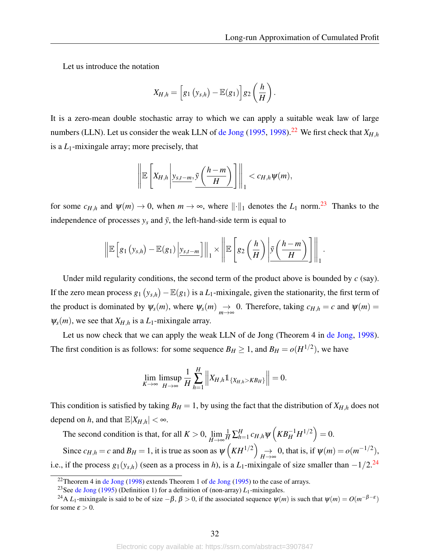Let us introduce the notation

$$
X_{H,h}=\Big[g_1\left(y_{s,h}\right)-\mathbb{E}(g_1)\Big]g_2\left(\frac{h}{H}\right).
$$

It is a zero-mean double stochastic array to which we can apply a suitable weak law of large numbers (LLN). Let us consider the weak LLN of [de Jong](#page-37-14) [\(1995,](#page-37-14) [1998\)](#page-37-15).<sup>[22](#page-0-0)</sup> We first check that  $X_{H,h}$ is a *L*1-mixingale array; more precisely, that

$$
\left\|\mathbb{E}\left[X_{H,h}\left|y_{s,t-m},\tilde{y}\left(\frac{h-m}{H}\right)\right|\right\|_{1} < c_{H,h}\psi(m),\right\|
$$

for some  $c_{H,h}$  and  $\psi(m) \to 0$ , when  $m \to \infty$ , where  $\|\cdot\|_1$  denotes the  $L_1$  norm.<sup>[23](#page-0-0)</sup> Thanks to the independence of processes  $y_s$  and  $\tilde{y}$ , the left-hand-side term is equal to

$$
\left\|\mathbb{E}\left[g_1\left(y_{s,h}\right)-\mathbb{E}(g_1)\left|y_{s,t-m}\right]\right\|_1 \times \left\|\mathbb{E}\left[g_2\left(\frac{h}{H}\right)\left| \widetilde{y}\left(\frac{h-m}{H}\right)\right]\right\|_1.
$$

Under mild regularity conditions, the second term of the product above is bounded by *c* (say). If the zero mean process  $g_1(y_{s,h}) - \mathbb{E}(g_1)$  is a  $L_1$ -mixingale, given the stationarity, the first term of the product is dominated by  $\psi_s(m)$ , where  $\psi_s(m) \to 0$ . Therefore, taking  $c_{H,h} = c$  and  $\psi(m) =$  $\psi_s(m)$ , we see that  $X_{H,h}$  is a  $L_1$ -mixingale array.

Let us now check that we can apply the weak LLN of de Jong (Theorem 4 in [de Jong,](#page-37-15) [1998\)](#page-37-15). The first condition is as follows: for some sequence  $B_H \ge 1$ , and  $B_H = o(H^{1/2})$ , we have

$$
\lim_{K\to\infty}\limsup_{H\to\infty}\frac{1}{H}\sum_{h=1}^H\left\|X_{H,h}\mathbb{1}_{\{X_{H,h}>KB_H\}}\right\|=0.
$$

This condition is satisfied by taking  $B_H = 1$ , by using the fact that the distribution of  $X_{H,h}$  does not depend on *h*, and that  $\mathbb{E}|X_{H,h}| < \infty$ .

The second condition is that, for all  $K > 0$ ,  $\lim_{H \to \infty}$  $\frac{1}{H} \sum_{h=1}^{H}$  $_{h=1}^{H}c_{H,h}\psi\left(KB_{H}^{-1}H^{1/2}\right)=0.$ Since  $c_{H,h} = c$  and  $B_H = 1$ , it is true as soon as  $\psi\left(KH^{1/2}\right) \rightarrow$  $\rightarrow H \rightarrow \infty$  0, that is, if  $\psi(m) = o(m^{-1/2})$ , i.e., if the process  $g_1(y_{s,h})$  (seen as a process in *h*), is a *L*<sub>1</sub>-mixingale of size smaller than  $-1/2$ .<sup>[24](#page-0-0)</sup>

<sup>&</sup>lt;sup>22</sup>Theorem 4 in [de Jong](#page-37-14) [\(1998\)](#page-37-15) extends Theorem 1 of de Jong [\(1995\)](#page-37-14) to the case of arrays.

<sup>&</sup>lt;sup>23</sup>See [de Jong](#page-37-14) [\(1995\)](#page-37-14) (Definition 1) for a definition of (non-array)  $L_1$ -mixingales.

<sup>&</sup>lt;sup>24</sup>A *L*<sub>1</sub>-mixingale is said to be of size  $-\beta$ ,  $\beta > 0$ , if the associated sequence  $\psi(m)$  is such that  $\psi(m) = O(m^{-\beta - \epsilon})$ for some  $\varepsilon > 0$ .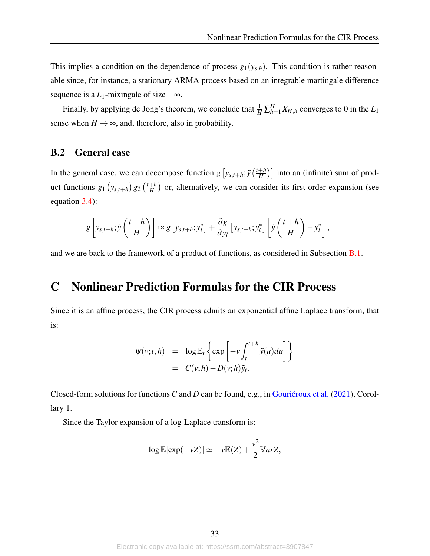This implies a condition on the dependence of process  $g_1(y_{s,h})$ . This condition is rather reasonable since, for instance, a stationary ARMA process based on an integrable martingale difference sequence is a  $L_1$ -mixingale of size  $-\infty$ .

Finally, by applying de Jong's theorem, we conclude that  $\frac{1}{H} \sum_{h=1}^{H} X_{H,h}$  converges to 0 in the  $L_1$ sense when  $H \rightarrow \infty$ , and, therefore, also in probability.

### B.2 General case

In the general case, we can decompose function  $g[y_{s,t+h}; \tilde{y}(\frac{t+h}{H})]$  $\left(\frac{+h}{H}\right)$ ] into an (infinite) sum of product functions  $g_1(y_{s,t+h}) g_2(\frac{t+h}{H})$  $\frac{+h}{H}$ ) or, alternatively, we can consider its first-order expansion (see equation [3.4\)](#page-13-3):

$$
g\left[y_{s,t+h};\tilde{y}\left(\frac{t+h}{H}\right)\right]\approx g\left[y_{s,t+h};y_{l}^{*}\right]+\frac{\partial g}{\partial y_{l}}\left[y_{s,t+h};y_{l}^{*}\right]\left[\tilde{y}\left(\frac{t+h}{H}\right)-y_{l}^{*}\right],
$$

and we are back to the framework of a product of functions, as considered in Subsection [B.1.](#page-31-1)

## C Nonlinear Prediction Formulas for the CIR Process

Since it is an affine process, the CIR process admits an exponential affine Laplace transform, that is:

$$
\Psi(v;t,h) = \log \mathbb{E}_t \left\{ \exp \left[ -v \int_t^{t+h} \tilde{y}(u) du \right] \right\}
$$
  
=  $C(v;h) - D(v;h) \tilde{y}_t$ .

Closed-form solutions for functions *C* and *D* can be found, e.g., in [Gouriéroux et al.](#page-37-16) [\(2021\)](#page-37-16), Corollary 1.

Since the Taylor expansion of a log-Laplace transform is:

$$
\log \mathbb{E}[\exp(-\nu Z)] \simeq -\nu \mathbb{E}(Z) + \frac{\nu^2}{2} \mathbb{V}arZ,
$$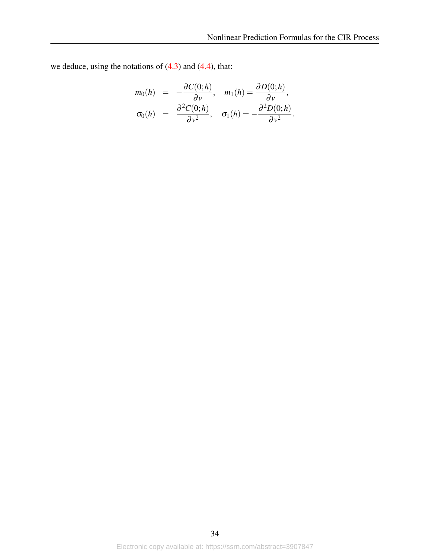we deduce, using the notations of  $(4.3)$  and  $(4.4)$ , that:

$$
m_0(h) = -\frac{\partial C(0;h)}{\partial v}, \quad m_1(h) = \frac{\partial D(0;h)}{\partial v},
$$
  

$$
\sigma_0(h) = \frac{\partial^2 C(0;h)}{\partial v^2}, \quad \sigma_1(h) = -\frac{\partial^2 D(0;h)}{\partial v^2}.
$$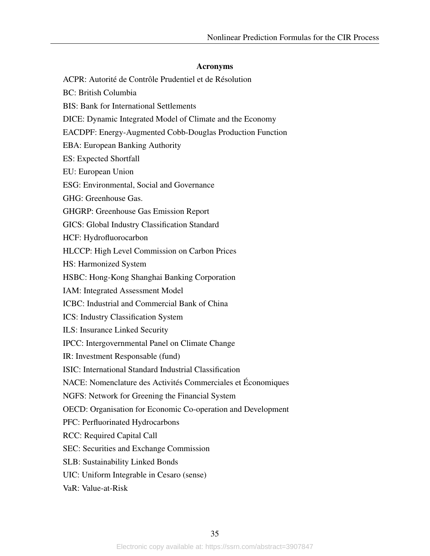#### Acronyms

- ACPR: Autorité de Contrôle Prudentiel et de Résolution
- BC: British Columbia
- BIS: Bank for International Settlements
- DICE: Dynamic Integrated Model of Climate and the Economy
- EACDPF: Energy-Augmented Cobb-Douglas Production Function
- EBA: European Banking Authority
- ES: Expected Shortfall
- EU: European Union
- ESG: Environmental, Social and Governance
- GHG: Greenhouse Gas.
- GHGRP: Greenhouse Gas Emission Report
- GICS: Global Industry Classification Standard
- HCF: Hydrofluorocarbon
- HLCCP: High Level Commission on Carbon Prices
- HS: Harmonized System
- HSBC: Hong-Kong Shanghai Banking Corporation
- IAM: Integrated Assessment Model
- ICBC: Industrial and Commercial Bank of China
- ICS: Industry Classification System
- ILS: Insurance Linked Security
- IPCC: Intergovernmental Panel on Climate Change
- IR: Investment Responsable (fund)
- ISIC: International Standard Industrial Classification
- NACE: Nomenclature des Activités Commerciales et Économiques
- NGFS: Network for Greening the Financial System
- OECD: Organisation for Economic Co-operation and Development
- PFC: Perfluorinated Hydrocarbons
- RCC: Required Capital Call
- SEC: Securities and Exchange Commission
- SLB: Sustainability Linked Bonds
- UIC: Uniform Integrable in Cesaro (sense)
- VaR: Value-at-Risk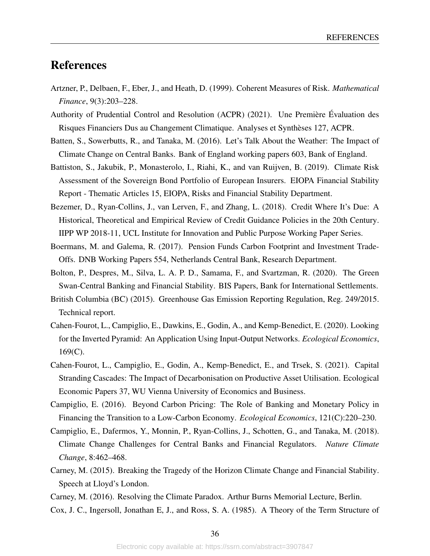## References

- <span id="page-36-6"></span>Artzner, P., Delbaen, F., Eber, J., and Heath, D. (1999). Coherent Measures of Risk. *Mathematical Finance*, 9(3):203–228.
- <span id="page-36-13"></span>Authority of Prudential Control and Resolution (ACPR) (2021). Une Première Évaluation des Risques Financiers Dus au Changement Climatique. Analyses et Synthèses 127, ACPR.
- <span id="page-36-2"></span>Batten, S., Sowerbutts, R., and Tanaka, M. (2016). Let's Talk About the Weather: The Impact of Climate Change on Central Banks. Bank of England working papers 603, Bank of England.
- <span id="page-36-9"></span>Battiston, S., Jakubik, P., Monasterolo, I., Riahi, K., and van Ruijven, B. (2019). Climate Risk Assessment of the Sovereign Bond Portfolio of European Insurers. EIOPA Financial Stability Report - Thematic Articles 15, EIOPA, Risks and Financial Stability Department.
- <span id="page-36-5"></span>Bezemer, D., Ryan-Collins, J., van Lerven, F., and Zhang, L. (2018). Credit Where It's Due: A Historical, Theoretical and Empirical Review of Credit Guidance Policies in the 20th Century. IIPP WP 2018-11, UCL Institute for Innovation and Public Purpose Working Paper Series.
- <span id="page-36-8"></span>Boermans, M. and Galema, R. (2017). Pension Funds Carbon Footprint and Investment Trade-Offs. DNB Working Papers 554, Netherlands Central Bank, Research Department.
- <span id="page-36-4"></span>Bolton, P., Despres, M., Silva, L. A. P. D., Samama, F., and Svartzman, R. (2020). The Green Swan-Central Banking and Financial Stability. BIS Papers, Bank for International Settlements.
- <span id="page-36-10"></span>British Columbia (BC) (2015). Greenhouse Gas Emission Reporting Regulation, Reg. 249/2015. Technical report.
- <span id="page-36-7"></span>Cahen-Fourot, L., Campiglio, E., Dawkins, E., Godin, A., and Kemp-Benedict, E. (2020). Looking for the Inverted Pyramid: An Application Using Input-Output Networks. *Ecological Economics*,  $169(C)$ .
- <span id="page-36-11"></span>Cahen-Fourot, L., Campiglio, E., Godin, A., Kemp-Benedict, E., and Trsek, S. (2021). Capital Stranding Cascades: The Impact of Decarbonisation on Productive Asset Utilisation. Ecological Economic Papers 37, WU Vienna University of Economics and Business.
- <span id="page-36-0"></span>Campiglio, E. (2016). Beyond Carbon Pricing: The Role of Banking and Monetary Policy in Financing the Transition to a Low-Carbon Economy. *Ecological Economics*, 121(C):220–230.
- <span id="page-36-3"></span>Campiglio, E., Dafermos, Y., Monnin, P., Ryan-Collins, J., Schotten, G., and Tanaka, M. (2018). Climate Change Challenges for Central Banks and Financial Regulators. *Nature Climate Change*, 8:462–468.
- <span id="page-36-1"></span>Carney, M. (2015). Breaking the Tragedy of the Horizon Climate Change and Financial Stability. Speech at Lloyd's London.
- <span id="page-36-14"></span><span id="page-36-12"></span>Carney, M. (2016). Resolving the Climate Paradox. Arthur Burns Memorial Lecture, Berlin.
- Cox, J. C., Ingersoll, Jonathan E, J., and Ross, S. A. (1985). A Theory of the Term Structure of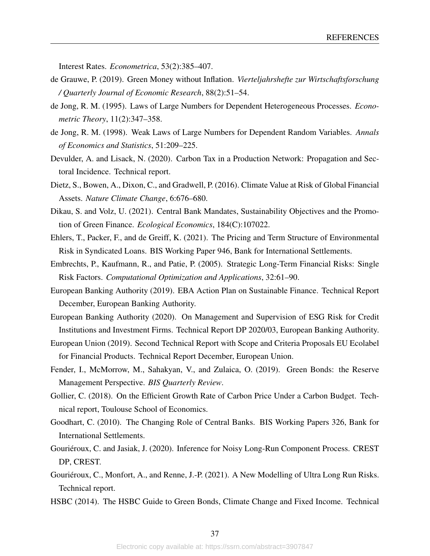Interest Rates. *Econometrica*, 53(2):385–407.

- <span id="page-37-4"></span>de Grauwe, P. (2019). Green Money without Inflation. *Vierteljahrshefte zur Wirtschaftsforschung / Quarterly Journal of Economic Research*, 88(2):51–54.
- <span id="page-37-14"></span>de Jong, R. M. (1995). Laws of Large Numbers for Dependent Heterogeneous Processes. *Econometric Theory*, 11(2):347–358.
- <span id="page-37-15"></span>de Jong, R. M. (1998). Weak Laws of Large Numbers for Dependent Random Variables. *Annals of Economics and Statistics*, 51:209–225.
- <span id="page-37-6"></span>Devulder, A. and Lisack, N. (2020). Carbon Tax in a Production Network: Propagation and Sectoral Incidence. Technical report.
- <span id="page-37-1"></span>Dietz, S., Bowen, A., Dixon, C., and Gradwell, P. (2016). Climate Value at Risk of Global Financial Assets. *Nature Climate Change*, 6:676–680.
- <span id="page-37-3"></span>Dikau, S. and Volz, U. (2021). Central Bank Mandates, Sustainability Objectives and the Promotion of Green Finance. *Ecological Economics*, 184(C):107022.
- <span id="page-37-12"></span>Ehlers, T., Packer, F., and de Greiff, K. (2021). The Pricing and Term Structure of Environmental Risk in Syndicated Loans. BIS Working Paper 946, Bank for International Settlements.
- <span id="page-37-13"></span>Embrechts, P., Kaufmann, R., and Patie, P. (2005). Strategic Long-Term Financial Risks: Single Risk Factors. *Computational Optimization and Applications*, 32:61–90.
- <span id="page-37-0"></span>European Banking Authority (2019). EBA Action Plan on Sustainable Finance. Technical Report December, European Banking Authority.
- <span id="page-37-5"></span>European Banking Authority (2020). On Management and Supervision of ESG Risk for Credit Institutions and Investment Firms. Technical Report DP 2020/03, European Banking Authority.
- <span id="page-37-8"></span>European Union (2019). Second Technical Report with Scope and Criteria Proposals EU Ecolabel for Financial Products. Technical Report December, European Union.
- <span id="page-37-11"></span>Fender, I., McMorrow, M., Sahakyan, V., and Zulaica, O. (2019). Green Bonds: the Reserve Management Perspective. *BIS Quarterly Review*.
- <span id="page-37-9"></span>Gollier, C. (2018). On the Efficient Growth Rate of Carbon Price Under a Carbon Budget. Technical report, Toulouse School of Economics.
- <span id="page-37-2"></span>Goodhart, C. (2010). The Changing Role of Central Banks. BIS Working Papers 326, Bank for International Settlements.
- <span id="page-37-7"></span>Gouriéroux, C. and Jasiak, J. (2020). Inference for Noisy Long-Run Component Process. CREST DP, CREST.
- <span id="page-37-16"></span>Gouriéroux, C., Monfort, A., and Renne, J.-P. (2021). A New Modelling of Ultra Long Run Risks. Technical report.
- <span id="page-37-10"></span>HSBC (2014). The HSBC Guide to Green Bonds, Climate Change and Fixed Income. Technical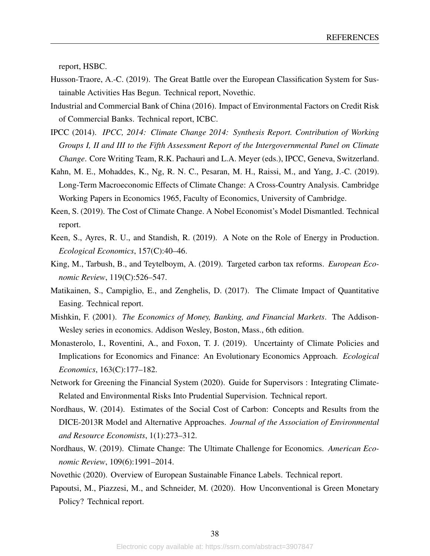report, HSBC.

- <span id="page-38-12"></span>Husson-Traore, A.-C. (2019). The Great Battle over the European Classification System for Sustainable Activities Has Begun. Technical report, Novethic.
- <span id="page-38-5"></span>Industrial and Commercial Bank of China (2016). Impact of Environmental Factors on Credit Risk of Commercial Banks. Technical report, ICBC.
- <span id="page-38-3"></span>IPCC (2014). *IPCC, 2014: Climate Change 2014: Synthesis Report. Contribution of Working Groups I, II and III to the Fifth Assessment Report of the Intergovernmental Panel on Climate Change*. Core Writing Team, R.K. Pachauri and L.A. Meyer (eds.), IPCC, Geneva, Switzerland.
- <span id="page-38-6"></span>Kahn, M. E., Mohaddes, K., Ng, R. N. C., Pesaran, M. H., Raissi, M., and Yang, J.-C. (2019). Long-Term Macroeconomic Effects of Climate Change: A Cross-Country Analysis. Cambridge Working Papers in Economics 1965, Faculty of Economics, University of Cambridge.
- <span id="page-38-13"></span>Keen, S. (2019). The Cost of Climate Change. A Nobel Economist's Model Dismantled. Technical report.
- <span id="page-38-7"></span>Keen, S., Ayres, R. U., and Standish, R. (2019). A Note on the Role of Energy in Production. *Ecological Economics*, 157(C):40–46.
- <span id="page-38-11"></span>King, M., Tarbush, B., and Teytelboym, A. (2019). Targeted carbon tax reforms. *European Economic Review*, 119(C):526–547.
- <span id="page-38-0"></span>Matikainen, S., Campiglio, E., and Zenghelis, D. (2017). The Climate Impact of Quantitative Easing. Technical report.
- <span id="page-38-14"></span>Mishkin, F. (2001). *The Economics of Money, Banking, and Financial Markets*. The Addison-Wesley series in economics. Addison Wesley, Boston, Mass., 6th edition.
- <span id="page-38-2"></span>Monasterolo, I., Roventini, A., and Foxon, T. J. (2019). Uncertainty of Climate Policies and Implications for Economics and Finance: An Evolutionary Economics Approach. *Ecological Economics*, 163(C):177–182.
- <span id="page-38-8"></span>Network for Greening the Financial System (2020). Guide for Supervisors : Integrating Climate-Related and Environmental Risks Into Prudential Supervision. Technical report.
- <span id="page-38-10"></span>Nordhaus, W. (2014). Estimates of the Social Cost of Carbon: Concepts and Results from the DICE-2013R Model and Alternative Approaches. *Journal of the Association of Environmental and Resource Economists*, 1(1):273–312.
- <span id="page-38-4"></span>Nordhaus, W. (2019). Climate Change: The Ultimate Challenge for Economics. *American Economic Review*, 109(6):1991–2014.
- <span id="page-38-9"></span><span id="page-38-1"></span>Novethic (2020). Overview of European Sustainable Finance Labels. Technical report.
- Papoutsi, M., Piazzesi, M., and Schneider, M. (2020). How Unconventional is Green Monetary Policy? Technical report.